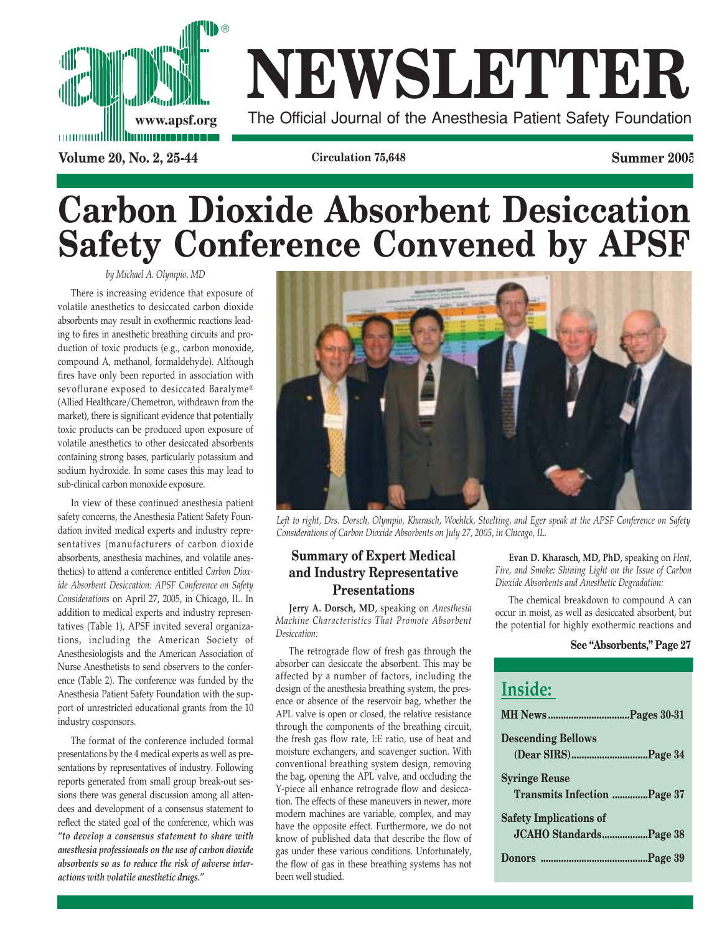

# **NEWSLETTER www.apsf.org** The Official Journal of the Anesthesia Patient Safety Foundation

**Volume 20, No. 2, 25-44 Circulation 75,648 Summer 2005**

# **Carbon Dioxide Absorbent Desiccation Safety Conference Convened by APSF**

*by Michael A. Olympio, MD*

There is increasing evidence that exposure of volatile anesthetics to desiccated carbon dioxide absorbents may result in exothermic reactions leading to fires in anesthetic breathing circuits and production of toxic products (e.g., carbon monoxide, compound A, methanol, formaldehyde). Although fires have only been reported in association with sevoflurane exposed to desiccated Baralyme® (Allied Healthcare/Chemetron, withdrawn from the market), there is significant evidence that potentially toxic products can be produced upon exposure of volatile anesthetics to other desiccated absorbents containing strong bases, particularly potassium and sodium hydroxide. In some cases this may lead to sub-clinical carbon monoxide exposure.

In view of these continued anesthesia patient safety concerns, the Anesthesia Patient Safety Foundation invited medical experts and industry representatives (manufacturers of carbon dioxide absorbents, anesthesia machines, and volatile anesthetics) to attend a conference entitled *Carbon Dioxide Absorbent Desiccation: APSF Conference on Safety Considerations* on April 27, 2005, in Chicago, IL. In addition to medical experts and industry representatives (Table 1), APSF invited several organizations, including the American Society of Anesthesiologists and the American Association of Nurse Anesthetists to send observers to the conference (Table 2). The conference was funded by the Anesthesia Patient Safety Foundation with the support of unrestricted educational grants from the 10 industry cosponsors.

The format of the conference included formal presentations by the 4 medical experts as well as presentations by representatives of industry. Following reports generated from small group break-out sessions there was general discussion among all attendees and development of a consensus statement to reflect the stated goal of the conference, which was *"to develop a consensus statement to share with anesthesia professionals on the use of carbon dioxide absorbents so as to reduce the risk of adverse interactions with volatile anesthetic drugs."*



*Left to right, Drs. Dorsch, Olympio, Kharasch, Woehlck, Stoelting, and Eger speak at the APSF Conference on Safety Considerations of Carbon Dioxide Absorbents on July 27, 2005, in Chicago, IL.*

#### **Summary of Expert Medical and Industry Representative Presentations**

**Jerry A. Dorsch, MD**, speaking on *Anesthesia Machine Characteristics That Promote Absorbent Desiccation:*

The retrograde flow of fresh gas through the absorber can desiccate the absorbent. This may be affected by a number of factors, including the design of the anesthesia breathing system, the presence or absence of the reservoir bag, whether the APL valve is open or closed, the relative resistance through the components of the breathing circuit, the fresh gas flow rate, I:E ratio, use of heat and moisture exchangers, and scavenger suction. With conventional breathing system design, removing the bag, opening the APL valve, and occluding the Y-piece all enhance retrograde flow and desiccation. The effects of these maneuvers in newer, more modern machines are variable, complex, and may have the opposite effect. Furthermore, we do not know of published data that describe the flow of gas under these various conditions. Unfortunately, the flow of gas in these breathing systems has not been well studied.

**Evan D. Kharasch, MD, PhD**, speaking on *Heat, Fire, and Smoke: Shining Light on the Issue of Carbon Dioxide Absorbents and Anesthetic Degradation:*

The chemical breakdown to compound A can occur in moist, as well as desiccated absorbent, but the potential for highly exothermic reactions and

#### **See "Absorbents," Page 27**

| Inside:                            |
|------------------------------------|
|                                    |
| <b>Descending Bellows</b>          |
|                                    |
| <b>Syringe Reuse</b>               |
| <b>Transmits Infection Page 37</b> |
| <b>Safety Implications of</b>      |
| JCAHO StandardsPage 38             |
|                                    |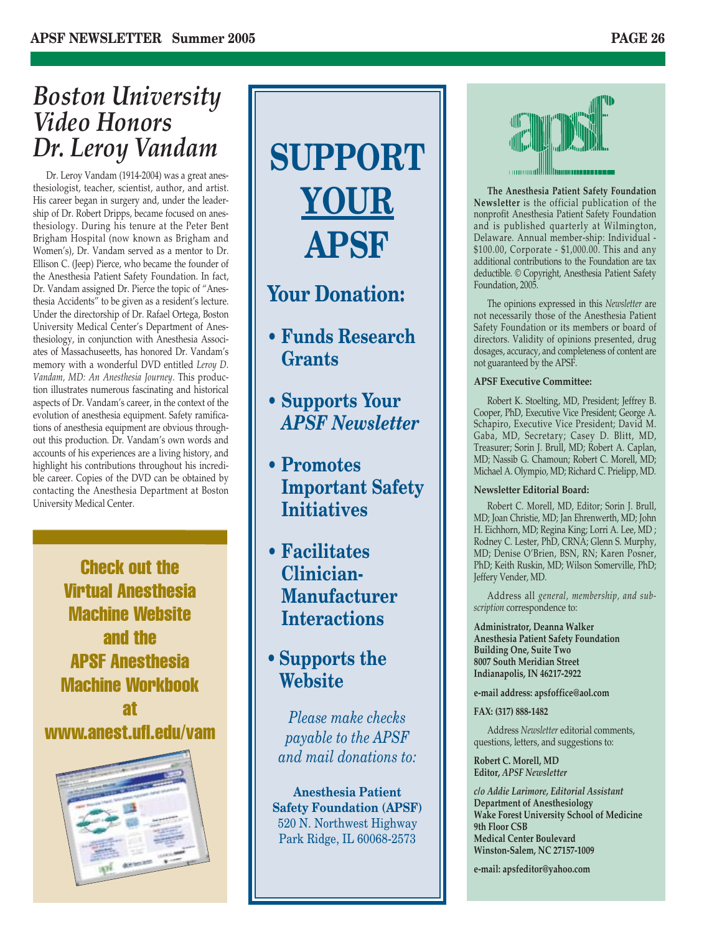### *Boston University Video Honors Dr. Leroy Vandam*

Dr. Leroy Vandam (1914-2004) was a great anesthesiologist, teacher, scientist, author, and artist. His career began in surgery and, under the leadership of Dr. Robert Dripps, became focused on anesthesiology. During his tenure at the Peter Bent Brigham Hospital (now known as Brigham and Women's), Dr. Vandam served as a mentor to Dr. Ellison C. (Jeep) Pierce, who became the founder of the Anesthesia Patient Safety Foundation. In fact, Dr. Vandam assigned Dr. Pierce the topic of "Anesthesia Accidents" to be given as a resident's lecture. Under the directorship of Dr. Rafael Ortega, Boston University Medical Center's Department of Anesthesiology, in conjunction with Anesthesia Associates of Massachuseetts, has honored Dr. Vandam's memory with a wonderful DVD entitled *Leroy D. Vandam, MD: An Anesthesia Journey*. This production illustrates numerous fascinating and historical aspects of Dr. Vandam's career, in the context of the evolution of anesthesia equipment. Safety ramifications of anesthesia equipment are obvious throughout this production. Dr. Vandam's own words and accounts of his experiences are a living history, and highlight his contributions throughout his incredible career. Copies of the DVD can be obtained by contacting the Anesthesia Department at Boston University Medical Center.

Check out the Virtual Anesthesia Machine Website and the APSF Anesthesia Machine Workbook at www.anest.ufl.edu/vam



# **SUPPORT YOUR APSF**

### **Your Donation:**

- **Funds Research Grants**
- **Supports Your** *APSF Newsletter*
- **Promotes Important Safety Initiatives**
- **Facilitates Clinician-Manufacturer Interactions**
- **Supports the Website**

*Please make checks payable to the APSF and mail donations to:*

**Anesthesia Patient Safety Foundation (APSF)** 520 N. Northwest Highway Park Ridge, IL 60068-2573



**The Anesthesia Patient Safety Foundation Newsletter** is the official publication of the nonprofit Anesthesia Patient Safety Foundation and is published quarterly at Wilmington, Delaware. Annual member-ship: Individual - \$100.00, Corporate - \$1,000.00. This and any additional contributions to the Foundation are tax deductible. © Copyright, Anesthesia Patient Safety Foundation, 2005.

The opinions expressed in this *Newsletter* are not necessarily those of the Anesthesia Patient Safety Foundation or its members or board of directors. Validity of opinions presented, drug dosages, accuracy, and completeness of content are not guaranteed by the APSF.

#### **APSF Executive Committee:**

Robert K. Stoelting, MD, President; Jeffrey B. Cooper, PhD, Executive Vice President; George A. Schapiro, Executive Vice President; David M. Gaba, MD, Secretary; Casey D. Blitt, MD, Treasurer; Sorin J. Brull, MD; Robert A. Caplan, MD; Nassib G. Chamoun; Robert C. Morell, MD; Michael A. Olympio, MD; Richard C. Prielipp, MD.

#### **Newsletter Editorial Board:**

Robert C. Morell, MD, Editor; Sorin J. Brull, MD; Joan Christie, MD; Jan Ehrenwerth, MD; John H. Eichhorn, MD; Regina King; Lorri A. Lee, MD ; Rodney C. Lester, PhD, CRNA; Glenn S. Murphy, MD; Denise O'Brien, BSN, RN; Karen Posner, PhD; Keith Ruskin, MD; Wilson Somerville, PhD; Jeffery Vender, MD.

Address all *general, membership, and subscription* correspondence to:

**Administrator, Deanna Walker Anesthesia Patient Safety Foundation Building One, Suite Two 8007 South Meridian Street Indianapolis, IN 46217-2922**

**e-mail address: apsfoffice@aol.com**

#### **FAX: (317) 888-1482**

Address *Newsletter* editorial comments, questions, letters, and suggestions to:

**Robert C. Morell, MD Editor,** *APSF Newsletter*

*c/o Addie Larimore, Editorial Assistant* **Department of Anesthesiology Wake Forest University School of Medicine 9th Floor CSB Medical Center Boulevard Winston-Salem, NC 27157-1009**

**e-mail: apsfeditor@yahoo.com**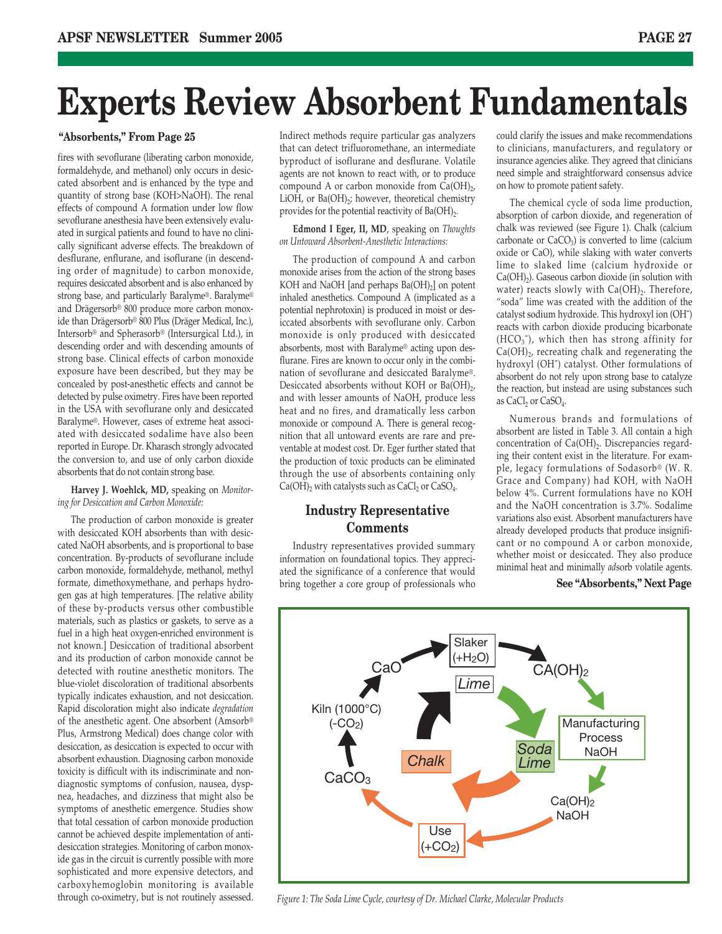# **Experts Review Absorbent Fundamentals**

fires with sevoflurane (liberating carbon monoxide, formaldehyde, and methanol) only occurs in desiccated absorbent and is enhanced by the type and quantity of strong base (KOH>NaOH). The renal effects of compound A formation under low flow sevoflurane anesthesia have been extensively evaluated in surgical patients and found to have no clinically significant adverse effects. The breakdown of desflurane, enflurane, and isoflurane (in descending order of magnitude) to carbon monoxide, requires desiccated absorbent and is also enhanced by strong base, and particularly Baralyme®. Baralyme® and Drägersorb® 800 produce more carbon monoxide than Drägersorb® 800 Plus (Dräger Medical, Inc.), Intersorb® and Spherasorb® (Intersurgical Ltd.), in descending order and with descending amounts of strong base. Clinical effects of carbon monoxide exposure have been described, but they may be concealed by post-anesthetic effects and cannot be detected by pulse oximetry. Fires have been reported in the USA with sevoflurane only and desiccated Baralyme®. However, cases of extreme heat associated with desiccated sodalime have also been reported in Europe. Dr. Kharasch strongly advocated the conversion to, and use of only carbon dioxide absorbents that do not contain strong base.

#### **Harvey J. Woehlck, MD,** speaking on *Monitoring for Desiccation and Carbon Monoxide:*

The production of carbon monoxide is greater with desiccated KOH absorbents than with desiccated NaOH absorbents, and is proportional to base concentration. By-products of sevoflurane include carbon monoxide, formaldehyde, methanol, methyl formate, dimethoxymethane, and perhaps hydrogen gas at high temperatures. [The relative ability of these by-products versus other combustible materials, such as plastics or gaskets, to serve as a fuel in a high heat oxygen-enriched environment is not known.] Desiccation of traditional absorbent and its production of carbon monoxide cannot be detected with routine anesthetic monitors. The blue-violet discoloration of traditional absorbents typically indicates exhaustion, and not desiccation. Rapid discoloration might also indicate *degradation* of the anesthetic agent. One absorbent (Amsorb® Plus, Armstrong Medical) does change color with desiccation, as desiccation is expected to occur with absorbent exhaustion. Diagnosing carbon monoxide toxicity is difficult with its indiscriminate and nondiagnostic symptoms of confusion, nausea, dyspnea, headaches, and dizziness that might also be symptoms of anesthetic emergence. Studies show that total cessation of carbon monoxide production cannot be achieved despite implementation of antidesiccation strategies. Monitoring of carbon monoxide gas in the circuit is currently possible with more sophisticated and more expensive detectors, and carboxyhemoglobin monitoring is available through co-oximetry, but is not routinely assessed.

**"Absorbents," From Page 25** could clarify the issues and make recommendations and make recommendations that can detect trifluoromethane, an intermediate byproduct of isoflurane and desflurane. Volatile agents are not known to react with, or to produce compound A or carbon monoxide from  $Ca(OH)_{2}$ , LiOH, or  $Ba(OH)_{2}$ ; however, theoretical chemistry provides for the potential reactivity of  $Ba(OH)_2$ .

> **Edmond I Eger, II, MD**, speaking on *Thoughts on Untoward Absorbent-Anesthetic Interactions:*

> The production of compound A and carbon monoxide arises from the action of the strong bases KOH and NaOH [and perhaps  $Ba(OH)_2$ ] on potent inhaled anesthetics. Compound A (implicated as a potential nephrotoxin) is produced in moist or desiccated absorbents with sevoflurane only. Carbon monoxide is only produced with desiccated absorbents, most with Baralyme® acting upon desflurane. Fires are known to occur only in the combination of sevoflurane and desiccated Baralyme®. Desiccated absorbents without KOH or  $Ba(OH)_{2}$ , and with lesser amounts of NaOH, produce less heat and no fires, and dramatically less carbon monoxide or compound A. There is general recognition that all untoward events are rare and preventable at modest cost. Dr. Eger further stated that the production of toxic products can be eliminated through the use of absorbents containing only  $Ca(OH)<sub>2</sub>$  with catalysts such as  $CaCl<sub>2</sub>$  or  $CaSO<sub>4</sub>$ .

#### **Industry Representative Comments**

Industry representatives provided summary information on foundational topics. They appreciated the significance of a conference that would bring together a core group of professionals who to clinicians, manufacturers, and regulatory or insurance agencies alike. They agreed that clinicians need simple and straightforward consensus advice on how to promote patient safety.

The chemical cycle of soda lime production, absorption of carbon dioxide, and regeneration of chalk was reviewed (see Figure 1). Chalk (calcium carbonate or  $CaCO<sub>3</sub>$ ) is converted to lime (calcium oxide or CaO), while slaking with water converts lime to slaked lime (calcium hydroxide or  $Ca(OH<sub>2</sub>)$ . Gaseous carbon dioxide (in solution with water) reacts slowly with  $Ca(OH)_{2}$ . Therefore, "soda" lime was created with the addition of the catalyst sodium hydroxide. This hydroxyl ion (OH- ) reacts with carbon dioxide producing bicarbonate (HCO<sub>3</sub><sup>-</sup>), which then has strong affinity for  $Ca(OH)_{2}$ , recreating chalk and regenerating the hydroxyl (OH<sup>-</sup>) catalyst. Other formulations of absorbent do not rely upon strong base to catalyze the reaction, but instead are using substances such as CaCl<sub>2</sub> or CaSO<sub>4</sub>.

Numerous brands and formulations of absorbent are listed in Table 3. All contain a high concentration of  $Ca(OH)_{2}$ . Discrepancies regarding their content exist in the literature. For example, legacy formulations of Sodasorb® (W. R. Grace and Company) had KOH, with NaOH below 4%. Current formulations have no KOH and the NaOH concentration is 3.7%. Sodalime variations also exist. Absorbent manufacturers have already developed products that produce insignificant or no compound A or carbon monoxide, whether moist or desiccated. They also produce minimal heat and minimally *ad*sorb volatile agents.

#### **See "Absorbents," Next Page**



*Figure 1: The Soda Lime Cycle, courtesy of Dr. Michael Clarke, Molecular Products*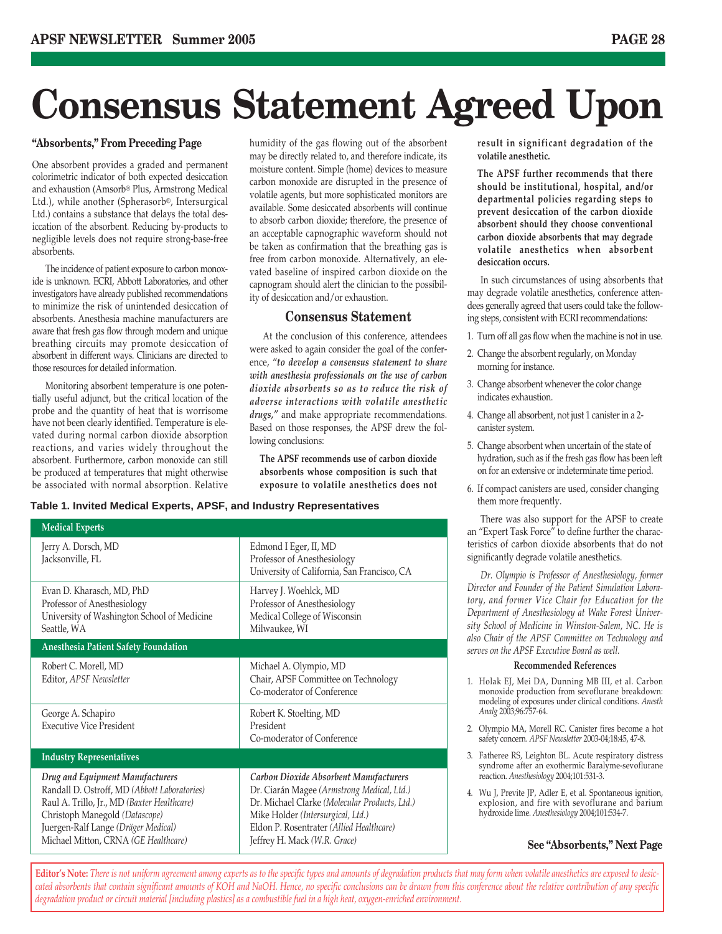# **Consensus Statement Agreed Upon**

#### **"Absorbents," From Preceding Page**

One absorbent provides a graded and permanent colorimetric indicator of both expected desiccation and exhaustion (Amsorb® Plus, Armstrong Medical Ltd.), while another (Spherasorb®, Intersurgical Ltd.) contains a substance that delays the total desiccation of the absorbent. Reducing by-products to negligible levels does not require strong-base-free absorbents.

The incidence of patient exposure to carbon monoxide is unknown. ECRI, Abbott Laboratories, and other investigators have already published recommendations to minimize the risk of unintended desiccation of absorbents. Anesthesia machine manufacturers are aware that fresh gas flow through modern and unique breathing circuits may promote desiccation of absorbent in different ways. Clinicians are directed to those resources for detailed information.

Monitoring absorbent temperature is one potentially useful adjunct, but the critical location of the probe and the quantity of heat that is worrisome have not been clearly identified. Temperature is elevated during normal carbon dioxide absorption reactions, and varies widely throughout the absorbent. Furthermore, carbon monoxide can still be produced at temperatures that might otherwise be associated with normal absorption. Relative humidity of the gas flowing out of the absorbent may be directly related to, and therefore indicate, its moisture content. Simple (home) devices to measure carbon monoxide are disrupted in the presence of volatile agents, but more sophisticated monitors are available. Some desiccated absorbents will continue to absorb carbon dioxide; therefore, the presence of an acceptable capnographic waveform should not be taken as confirmation that the breathing gas is free from carbon monoxide. Alternatively, an elevated baseline of inspired carbon dioxide on the capnogram should alert the clinician to the possibility of desiccation and/or exhaustion.

#### **Consensus Statement**

At the conclusion of this conference, attendees were asked to again consider the goal of the conference, *"to develop a consensus statement to share with anesthesia professionals on the use of carbon dioxide absorbents so as to reduce the risk of adverse interactions with volatile anesthetic drugs,"* and make appropriate recommendations. Based on those responses, the APSF drew the following conclusions:

**The APSF recommends use of carbon dioxide absorbents whose composition is such that exposure to volatile anesthetics does not**

#### **Table 1. Invited Medical Experts, APSF, and Industry Representatives**

| <b>Medical Experts</b>                                                                                                                                                                                                                           |                                                                                                                                                                                                                                                        |  |  |  |  |
|--------------------------------------------------------------------------------------------------------------------------------------------------------------------------------------------------------------------------------------------------|--------------------------------------------------------------------------------------------------------------------------------------------------------------------------------------------------------------------------------------------------------|--|--|--|--|
| Jerry A. Dorsch, MD<br>Jacksonville, FL                                                                                                                                                                                                          | Edmond I Eger, II, MD<br>Professor of Anesthesiology<br>University of California, San Francisco, CA                                                                                                                                                    |  |  |  |  |
| Evan D. Kharasch, MD, PhD<br>Professor of Anesthesiology<br>University of Washington School of Medicine<br>Seattle, WA                                                                                                                           | Harvey J. Woehlck, MD<br>Professor of Anesthesiology<br>Medical College of Wisconsin<br>Milwaukee, WI                                                                                                                                                  |  |  |  |  |
| Anesthesia Patient Safety Foundation                                                                                                                                                                                                             |                                                                                                                                                                                                                                                        |  |  |  |  |
| Robert C. Morell, MD<br>Editor, APSF Newsletter                                                                                                                                                                                                  | Michael A. Olympio, MD<br>Chair, APSF Committee on Technology<br>Co-moderator of Conference                                                                                                                                                            |  |  |  |  |
| George A. Schapiro<br><b>Executive Vice President</b>                                                                                                                                                                                            | Robert K. Stoelting, MD<br>President<br>Co-moderator of Conference                                                                                                                                                                                     |  |  |  |  |
| <b>Industry Representatives</b>                                                                                                                                                                                                                  |                                                                                                                                                                                                                                                        |  |  |  |  |
| Drug and Equipment Manufacturers<br>Randall D. Ostroff, MD (Abbott Laboratories)<br>Raul A. Trillo, Jr., MD (Baxter Healthcare)<br>Christoph Manegold (Datascope)<br>Juergen-Ralf Lange (Dräger Medical)<br>Michael Mitton, CRNA (GE Healthcare) | Carbon Dioxide Absorbent Manufacturers<br>Dr. Ciarán Magee (Armstrong Medical, Ltd.)<br>Dr. Michael Clarke (Molecular Products, Ltd.)<br>Mike Holder (Intersurgical, Ltd.)<br>Eldon P. Rosentrater (Allied Healthcare)<br>Jeffrey H. Mack (W.R. Grace) |  |  |  |  |

**result in significant degradation of the volatile anesthetic.**

**The APSF further recommends that there should be institutional, hospital, and/or departmental policies regarding steps to prevent desiccation of the carbon dioxide absorbent should they choose conventional carbon dioxide absorbents that may degrade volatile anesthetics when absorbent desiccation occurs.**

In such circumstances of using absorbents that may degrade volatile anesthetics, conference attendees generally agreed that users could take the following steps, consistent with ECRI recommendations:

- 1. Turn off all gas flow when the machine is not in use.
- 2. Change the absorbent regularly, on Monday morning for instance.
- 3. Change absorbent whenever the color change indicates exhaustion.
- 4. Change all absorbent, not just 1 canister in a 2 canister system.
- 5. Change absorbent when uncertain of the state of hydration, such as if the fresh gas flow has been left on for an extensive or indeterminate time period.
- 6. If compact canisters are used, consider changing them more frequently.

There was also support for the APSF to create an "Expert Task Force" to define further the characteristics of carbon dioxide absorbents that do not significantly degrade volatile anesthetics.

*Dr. Olympio is Professor of Anesthesiology, former Director and Founder of the Patient Simulation Laboratory, and former Vice Chair for Education for the Department of Anesthesiology at Wake Forest University School of Medicine in Winston-Salem, NC. He is also Chair of the APSF Committee on Technology and serves on the APSF Executive Board as well.*

#### **Recommended References**

- 1. Holak EJ, Mei DA, Dunning MB III, et al. Carbon monoxide production from sevoflurane breakdown: modeling of exposures under clinical conditions. *Anesth Analg* 2003;96:757-64.
- 2. Olympio MA, Morell RC. Canister fires become a hot safety concern. *APSF Newsletter* 2003-04;18:45, 47-8.
- 3. Fatheree RS, Leighton BL. Acute respiratory distress syndrome after an exothermic Baralyme-sevoflurane reaction. *Anesthesiology* 2004;101:531-3.
- 4. Wu J, Previte JP, Adler E, et al. Spontaneous ignition, explosion, and fire with sevoflurane and barium hydroxide lime. *Anesthesiology* 2004;101:534-7.

#### $See "Absorbents," Next Page$

Editor's Note: There is not uniform agreement among experts as to the specific types and amounts of degradation products that may form when volatile anesthetics are exposed to desic*cated absorbents that contain significant amounts of KOH and NaOH. Hence, no specific conclusions can be drawn from this conference about the relative contribution of any specific degradation product or circuit material [including plastics] as a combustible fuel in a high heat, oxygen-enriched environment.*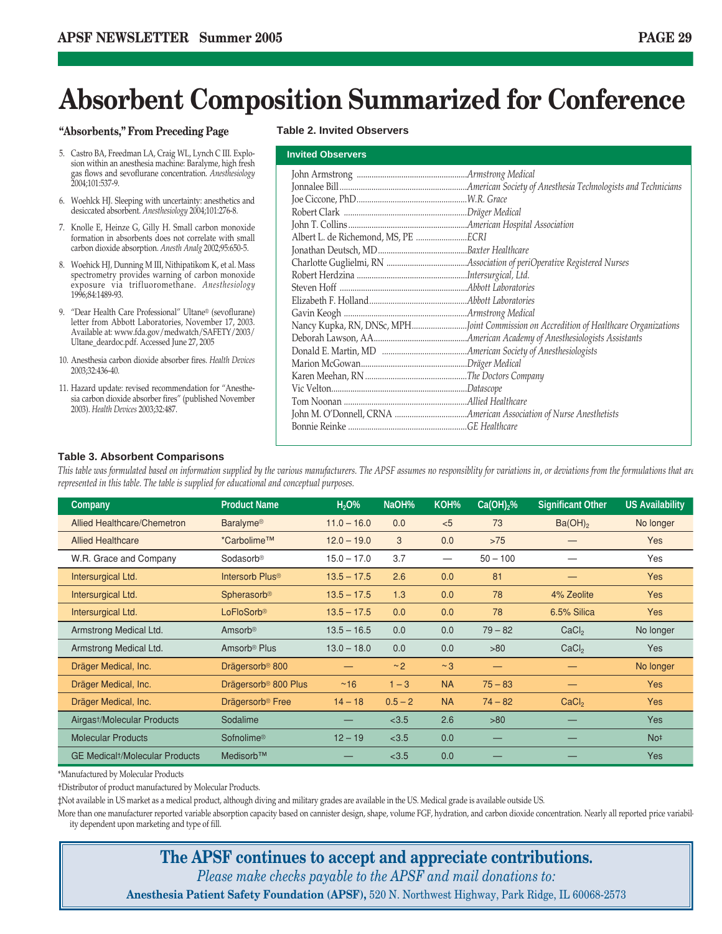### **Absorbent Composition Summarized for Conference**

#### **"Absorbents," From Preceding Page**

- 5. Castro BA, Freedman LA, Craig WL, Lynch C III. Explosion within an anesthesia machine: Baralyme, high fresh gas flows and sevoflurane concentration. *Anesthesiology* 2004;101:537-9.
- 6. Woehlck HJ. Sleeping with uncertainty: anesthetics and desiccated absorbent. *Anesthesiology* 2004;101:276-8.
- 7. Knolle E, Heinze G, Gilly H. Small carbon monoxide formation in absorbents does not correlate with small carbon dioxide absorption. *Anesth Analg* 2002;95:650-5.
- 8. Woehick HJ, Dunning M III, Nithipatikom K, et al. Mass spectrometry provides warning of carbon monoxide exposure via trifluoromethane. *Anesthesiology* 1996;84:1489-93.
- 9. "Dear Health Care Professional" Ultane® (sevoflurane) letter from Abbott Laboratories, November 17, 2003. Available at: www.fda.gov/medwatch/SAFETY/2003/ Ultane\_deardoc.pdf. Accessed June 27, 2005
- 10. Anesthesia carbon dioxide absorber fires. *Health Devices* 2003;32:436-40.
- 11. Hazard update: revised recommendation for "Anesthesia carbon dioxide absorber fires" (published November 2003). *Health Devices* 2003;32:487.

#### **Table 2. Invited Observers**

| <b>Invited Observers</b> |  |
|--------------------------|--|
|                          |  |
|                          |  |
|                          |  |
|                          |  |
|                          |  |
|                          |  |
|                          |  |
|                          |  |
|                          |  |
|                          |  |
|                          |  |
|                          |  |
|                          |  |
|                          |  |
|                          |  |
|                          |  |
|                          |  |
|                          |  |
|                          |  |
|                          |  |
|                          |  |
|                          |  |

#### **Table 3. Absorbent Comparisons**

*This table was formulated based on information supplied by the various manufacturers. The APSF assumes no responsiblity for variations in, or deviations from the formulations that are represented in this table. The table is supplied for educational and conceptual purposes.*

| Company                               | <b>Product Name</b>              | H <sub>2</sub> O <sub>0</sub> | NaOH%       | KOH <sub>%</sub> | $Ca(OH)_{2}$ % | <b>Significant Other</b> | <b>US Availability</b> |
|---------------------------------------|----------------------------------|-------------------------------|-------------|------------------|----------------|--------------------------|------------------------|
| <b>Allied Healthcare/Chemetron</b>    | <b>Baralyme<sup>®</sup></b>      | $11.0 - 16.0$                 | 0.0         | < 5              | 73             | $Ba(OH)_{2}$             | No longer              |
| <b>Allied Healthcare</b>              | *Carbolime™                      | $12.0 - 19.0$                 | 3           | 0.0              | $>75$          |                          | <b>Yes</b>             |
| W.R. Grace and Company                | Sodasorb <sup>®</sup>            | $15.0 - 17.0$                 | 3.7         | —                | $50 - 100$     |                          | Yes                    |
| Intersurgical Ltd.                    | Intersorb Plus <sup>®</sup>      | $13.5 - 17.5$                 | 2.6         | 0.0              | 81             |                          | Yes                    |
| Intersurgical Ltd.                    | Spherasorb®                      | $13.5 - 17.5$                 | 1.3         | 0.0              | 78             | 4% Zeolite               | Yes                    |
| Intersurgical Ltd.                    | LoFloSorb®                       | $13.5 - 17.5$                 | 0.0         | 0.0              | 78             | 6.5% Silica              | Yes                    |
| Armstrong Medical Ltd.                | Amsorb <sup>®</sup>              | $13.5 - 16.5$                 | 0.0         | 0.0              | $79 - 82$      | CaCl <sub>2</sub>        | No longer              |
| Armstrong Medical Ltd.                | Amsorb <sup>®</sup> Plus         | $13.0 - 18.0$                 | 0.0         | 0.0              | >80            | CaCl <sub>2</sub>        | Yes                    |
| Dräger Medical, Inc.                  | Drägersorb <sup>®</sup> 800      |                               | $~^{\sim}2$ | $~\sim$ 3        |                |                          | No longer              |
| Dräger Medical, Inc.                  | Drägersorb <sup>®</sup> 800 Plus | ~16                           | $1 - 3$     | <b>NA</b>        | $75 - 83$      |                          | <b>Yes</b>             |
| Dräger Medical, Inc.                  | Drägersorb <sup>®</sup> Free     | $14 - 18$                     | $0.5 - 2$   | <b>NA</b>        | $74 - 82$      | CaCl <sub>2</sub>        | <b>Yes</b>             |
| Airgast/Molecular Products            | Sodalime                         |                               | < 3.5       | 2.6              | >80            |                          | <b>Yes</b>             |
| <b>Molecular Products</b>             | <b>Sofnolime®</b>                | $12 - 19$                     | < 3.5       | 0.0              |                |                          | No <sup>‡</sup>        |
| <b>GE Medicalt/Molecular Products</b> | Medisorb™                        |                               | < 3.5       | 0.0              |                |                          | <b>Yes</b>             |

\*Manufactured by Molecular Products

†Distributor of product manufactured by Molecular Products.

‡Not available in US market as a medical product, although diving and military grades are available in the US. Medical grade is available outside US.

More than one manufacturer reported variable absorption capacity based on cannister design, shape, volume FGF, hydration, and carbon dioxide concentration. Nearly all reported price variability dependent upon marketing and type of fill.

**The APSF continues to accept and appreciate contributions.** 

*Please make checks payable to the APSF and mail donations to:*

**Anesthesia Patient Safety Foundation (APSF),** 520 N. Northwest Highway, Park Ridge, IL 60068-2573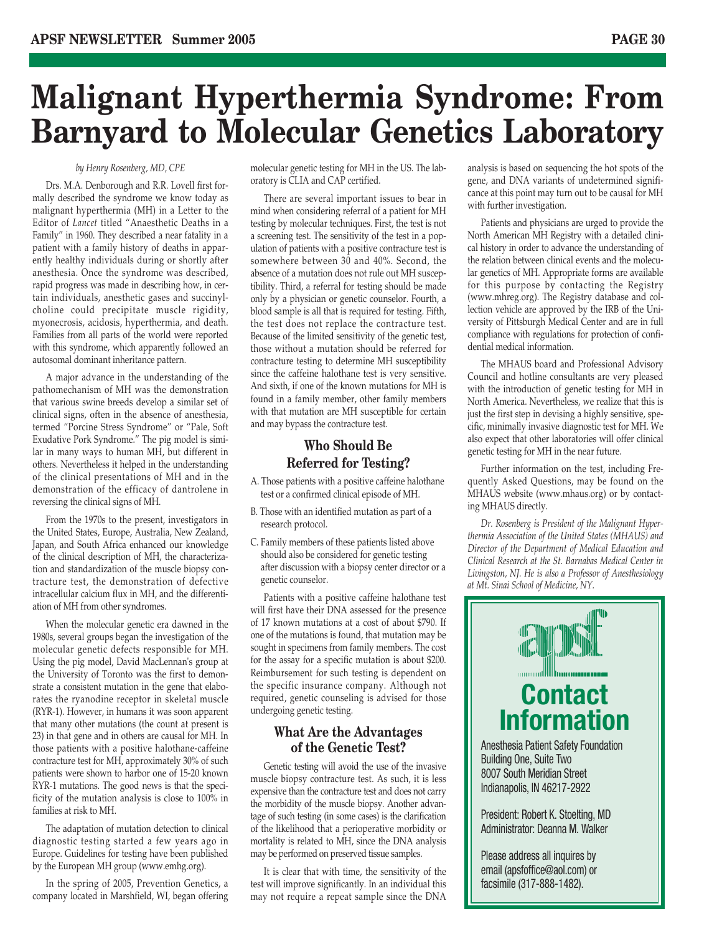### **Malignant Hyperthermia Syndrome: From Barnyard to Molecular Genetics Laboratory**

#### *by Henry Rosenberg, MD, CPE*

Drs. M.A. Denborough and R.R. Lovell first formally described the syndrome we know today as malignant hyperthermia (MH) in a Letter to the Editor of *Lancet* titled "Anaesthetic Deaths in a Family" in 1960. They described a near fatality in a patient with a family history of deaths in apparently healthy individuals during or shortly after anesthesia. Once the syndrome was described, rapid progress was made in describing how, in certain individuals, anesthetic gases and succinylcholine could precipitate muscle rigidity, myonecrosis, acidosis, hyperthermia, and death. Families from all parts of the world were reported with this syndrome, which apparently followed an autosomal dominant inheritance pattern.

A major advance in the understanding of the pathomechanism of MH was the demonstration that various swine breeds develop a similar set of clinical signs, often in the absence of anesthesia, termed "Porcine Stress Syndrome" or "Pale, Soft Exudative Pork Syndrome." The pig model is similar in many ways to human MH, but different in others. Nevertheless it helped in the understanding of the clinical presentations of MH and in the demonstration of the efficacy of dantrolene in reversing the clinical signs of MH.

From the 1970s to the present, investigators in the United States, Europe, Australia, New Zealand, Japan, and South Africa enhanced our knowledge of the clinical description of MH, the characterization and standardization of the muscle biopsy contracture test, the demonstration of defective intracellular calcium flux in MH, and the differentiation of MH from other syndromes.

When the molecular genetic era dawned in the 1980s, several groups began the investigation of the molecular genetic defects responsible for MH. Using the pig model, David MacLennan's group at the University of Toronto was the first to demonstrate a consistent mutation in the gene that elaborates the ryanodine receptor in skeletal muscle (RYR-1). However, in humans it was soon apparent that many other mutations (the count at present is 23) in that gene and in others are causal for MH. In those patients with a positive halothane-caffeine contracture test for MH, approximately 30% of such patients were shown to harbor one of 15-20 known RYR-1 mutations. The good news is that the specificity of the mutation analysis is close to 100% in families at risk to MH.

The adaptation of mutation detection to clinical diagnostic testing started a few years ago in Europe. Guidelines for testing have been published by the European MH group (www.emhg.org).

In the spring of 2005, Prevention Genetics, a company located in Marshfield, WI, began offering molecular genetic testing for MH in the US. The laboratory is CLIA and CAP certified.

There are several important issues to bear in mind when considering referral of a patient for MH testing by molecular techniques. First, the test is not a screening test. The sensitivity of the test in a population of patients with a positive contracture test is somewhere between 30 and 40%. Second, the absence of a mutation does not rule out MH susceptibility. Third, a referral for testing should be made only by a physician or genetic counselor. Fourth, a blood sample is all that is required for testing. Fifth, the test does not replace the contracture test. Because of the limited sensitivity of the genetic test, those without a mutation should be referred for contracture testing to determine MH susceptibility since the caffeine halothane test is very sensitive. And sixth, if one of the known mutations for MH is found in a family member, other family members with that mutation are MH susceptible for certain and may bypass the contracture test.

#### **Who Should Be Referred for Testing?**

- A. Those patients with a positive caffeine halothane test or a confirmed clinical episode of MH.
- B. Those with an identified mutation as part of a research protocol.
- C. Family members of these patients listed above should also be considered for genetic testing after discussion with a biopsy center director or a genetic counselor.

Patients with a positive caffeine halothane test will first have their DNA assessed for the presence of 17 known mutations at a cost of about \$790. If one of the mutations is found, that mutation may be sought in specimens from family members. The cost for the assay for a specific mutation is about \$200. Reimbursement for such testing is dependent on the specific insurance company. Although not required, genetic counseling is advised for those undergoing genetic testing.

#### **What Are the Advantages of the Genetic Test?**

Genetic testing will avoid the use of the invasive muscle biopsy contracture test. As such, it is less expensive than the contracture test and does not carry the morbidity of the muscle biopsy. Another advantage of such testing (in some cases) is the clarification of the likelihood that a perioperative morbidity or mortality is related to MH, since the DNA analysis may be performed on preserved tissue samples.

It is clear that with time, the sensitivity of the test will improve significantly. In an individual this may not require a repeat sample since the DNA

analysis is based on sequencing the hot spots of the gene, and DNA variants of undetermined significance at this point may turn out to be causal for MH with further investigation.

Patients and physicians are urged to provide the North American MH Registry with a detailed clinical history in order to advance the understanding of the relation between clinical events and the molecular genetics of MH. Appropriate forms are available for this purpose by contacting the Registry (www.mhreg.org). The Registry database and collection vehicle are approved by the IRB of the University of Pittsburgh Medical Center and are in full compliance with regulations for protection of confidential medical information.

The MHAUS board and Professional Advisory Council and hotline consultants are very pleased with the introduction of genetic testing for MH in North America. Nevertheless, we realize that this is just the first step in devising a highly sensitive, specific, minimally invasive diagnostic test for MH. We also expect that other laboratories will offer clinical genetic testing for MH in the near future.

Further information on the test, including Frequently Asked Questions, may be found on the MHAUS website (www.mhaus.org) or by contacting MHAUS directly.

*Dr. Rosenberg is President of the Malignant Hyperthermia Association of the United States (MHAUS) and Director of the Department of Medical Education and Clinical Research at the St. Barnabas Medical Center in Livingston, NJ. He is also a Professor of Anesthesiology at Mt. Sinai School of Medicine, NY.*

**Contact** 

**Information**

Anesthesia Patient Safety Foundation Building One, Suite Two 8007 South Meridian Street Indianapolis, IN 46217-2922

President: Robert K. Stoelting, MD Administrator: Deanna M. Walker

Please address all inquires by email (apsfoffice@aol.com) or facsimile (317-888-1482).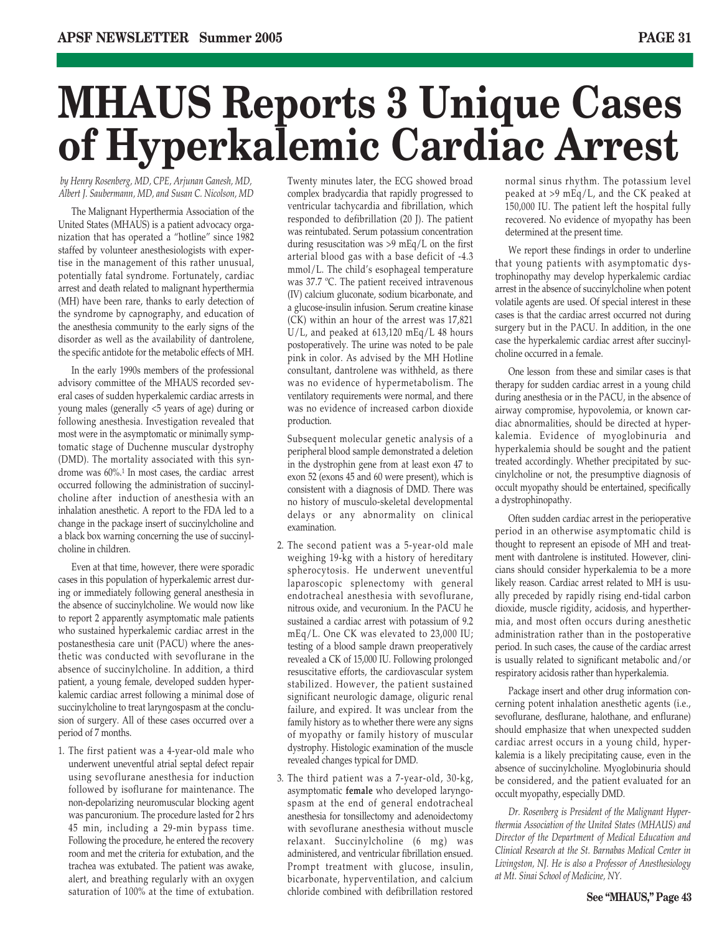# **MHAUS Reports 3 Unique Cases of Hyperkalemic Cardiac Arrest**

*by Henry Rosenberg, MD, CPE, Arjunan Ganesh, MD, Albert J. Saubermann, MD, and Susan C. Nicolson, MD*

The Malignant Hyperthermia Association of the United States (MHAUS) is a patient advocacy organization that has operated a "hotline" since 1982 staffed by volunteer anesthesiologists with expertise in the management of this rather unusual, potentially fatal syndrome. Fortunately, cardiac arrest and death related to malignant hyperthermia (MH) have been rare, thanks to early detection of the syndrome by capnography, and education of the anesthesia community to the early signs of the disorder as well as the availability of dantrolene, the specific antidote for the metabolic effects of MH.

In the early 1990s members of the professional advisory committee of the MHAUS recorded several cases of sudden hyperkalemic cardiac arrests in young males (generally <5 years of age) during or following anesthesia. Investigation revealed that most were in the asymptomatic or minimally symptomatic stage of Duchenne muscular dystrophy (DMD). The mortality associated with this syndrome was 60%.1 In most cases, the cardiac arrest occurred following the administration of succinylcholine after induction of anesthesia with an inhalation anesthetic. A report to the FDA led to a change in the package insert of succinylcholine and a black box warning concerning the use of succinylcholine in children.

Even at that time, however, there were sporadic cases in this population of hyperkalemic arrest during or immediately following general anesthesia in the absence of succinylcholine. We would now like to report 2 apparently asymptomatic male patients who sustained hyperkalemic cardiac arrest in the postanesthesia care unit (PACU) where the anesthetic was conducted with sevoflurane in the absence of succinylcholine. In addition, a third patient, a young female, developed sudden hyperkalemic cardiac arrest following a minimal dose of succinylcholine to treat laryngospasm at the conclusion of surgery. All of these cases occurred over a period of 7 months.

1. The first patient was a 4-year-old male who underwent uneventful atrial septal defect repair using sevoflurane anesthesia for induction followed by isoflurane for maintenance. The non-depolarizing neuromuscular blocking agent was pancuronium. The procedure lasted for 2 hrs 45 min, including a 29-min bypass time. Following the procedure, he entered the recovery room and met the criteria for extubation, and the trachea was extubated. The patient was awake, alert, and breathing regularly with an oxygen saturation of 100% at the time of extubation. Twenty minutes later, the ECG showed broad complex bradycardia that rapidly progressed to ventricular tachycardia and fibrillation, which responded to defibrillation (20 J). The patient was reintubated. Serum potassium concentration during resuscitation was >9 mEq/L on the first arterial blood gas with a base deficit of -4.3 mmol/L. The child's esophageal temperature was 37.7 ºC. The patient received intravenous (IV) calcium gluconate, sodium bicarbonate, and a glucose-insulin infusion. Serum creatine kinase (CK) within an hour of the arrest was 17,821 U/L, and peaked at 613,120 mEq/L 48 hours postoperatively. The urine was noted to be pale pink in color. As advised by the MH Hotline consultant, dantrolene was withheld, as there was no evidence of hypermetabolism. The ventilatory requirements were normal, and there was no evidence of increased carbon dioxide production.

Subsequent molecular genetic analysis of a peripheral blood sample demonstrated a deletion in the dystrophin gene from at least exon 47 to exon 52 (exons 45 and 60 were present), which is consistent with a diagnosis of DMD. There was no history of musculo-skeletal developmental delays or any abnormality on clinical examination.

- 2. The second patient was a 5-year-old male weighing 19-kg with a history of hereditary spherocytosis. He underwent uneventful laparoscopic splenectomy with general endotracheal anesthesia with sevoflurane, nitrous oxide, and vecuronium. In the PACU he sustained a cardiac arrest with potassium of 9.2 mEq/L. One CK was elevated to 23,000 IU; testing of a blood sample drawn preoperatively revealed a CK of 15,000 IU. Following prolonged resuscitative efforts, the cardiovascular system stabilized. However, the patient sustained significant neurologic damage, oliguric renal failure, and expired. It was unclear from the family history as to whether there were any signs of myopathy or family history of muscular dystrophy. Histologic examination of the muscle revealed changes typical for DMD.
- 3. The third patient was a 7-year-old, 30-kg, asymptomatic **female** who developed laryngospasm at the end of general endotracheal anesthesia for tonsillectomy and adenoidectomy with sevoflurane anesthesia without muscle relaxant. Succinylcholine (6 mg) was administered, and ventricular fibrillation ensued. Prompt treatment with glucose, insulin, bicarbonate, hyperventilation, and calcium chloride combined with defibrillation restored

normal sinus rhythm. The potassium level peaked at >9 mEq/L, and the CK peaked at 150,000 IU. The patient left the hospital fully recovered. No evidence of myopathy has been determined at the present time.

We report these findings in order to underline that young patients with asymptomatic dystrophinopathy may develop hyperkalemic cardiac arrest in the absence of succinylcholine when potent volatile agents are used. Of special interest in these cases is that the cardiac arrest occurred not during surgery but in the PACU. In addition, in the one case the hyperkalemic cardiac arrest after succinylcholine occurred in a female.

One lesson from these and similar cases is that therapy for sudden cardiac arrest in a young child during anesthesia or in the PACU, in the absence of airway compromise, hypovolemia, or known cardiac abnormalities, should be directed at hyperkalemia. Evidence of myoglobinuria and hyperkalemia should be sought and the patient treated accordingly. Whether precipitated by succinylcholine or not, the presumptive diagnosis of occult myopathy should be entertained, specifically a dystrophinopathy.

Often sudden cardiac arrest in the perioperative period in an otherwise asymptomatic child is thought to represent an episode of MH and treatment with dantrolene is instituted. However, clinicians should consider hyperkalemia to be a more likely reason. Cardiac arrest related to MH is usually preceded by rapidly rising end-tidal carbon dioxide, muscle rigidity, acidosis, and hyperthermia, and most often occurs during anesthetic administration rather than in the postoperative period. In such cases, the cause of the cardiac arrest is usually related to significant metabolic and/or respiratory acidosis rather than hyperkalemia.

Package insert and other drug information concerning potent inhalation anesthetic agents (i.e., sevoflurane, desflurane, halothane, and enflurane) should emphasize that when unexpected sudden cardiac arrest occurs in a young child, hyperkalemia is a likely precipitating cause, even in the absence of succinylcholine. Myoglobinuria should be considered, and the patient evaluated for an occult myopathy, especially DMD.

*Dr. Rosenberg is President of the Malignant Hyperthermia Association of the United States (MHAUS) and Director of the Department of Medical Education and Clinical Research at the St. Barnabas Medical Center in Livingston, NJ. He is also a Professor of Anesthesiology at Mt. Sinai School of Medicine, NY.*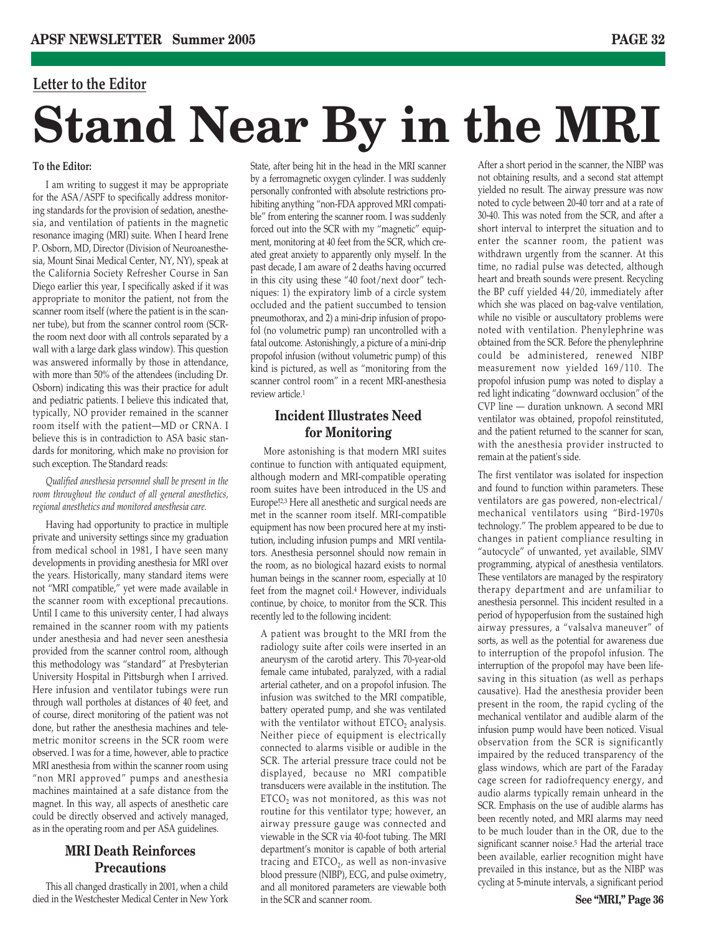#### **Letter to the Editor**

# **Stand Near By in the MRI**

**To the Editor:**

I am writing to suggest it may be appropriate for the ASA/ASPF to specifically address monitoring standards for the provision of sedation, anesthesia, and ventilation of patients in the magnetic resonance imaging (MRI) suite. When I heard Irene P. Osborn, MD, Director (Division of Neuroanesthesia, Mount Sinai Medical Center, NY, NY), speak at the California Society Refresher Course in San Diego earlier this year, I specifically asked if it was appropriate to monitor the patient, not from the scanner room itself (where the patient is in the scanner tube), but from the scanner control room (SCRthe room next door with all controls separated by a wall with a large dark glass window). This question was answered informally by those in attendance, with more than 50% of the attendees (including Dr. Osborn) indicating this was their practice for adult and pediatric patients. I believe this indicated that, typically, NO provider remained in the scanner room itself with the patient—MD or CRNA. I believe this is in contradiction to ASA basic standards for monitoring, which make no provision for such exception. The Standard reads:

*Qualified anesthesia personnel shall be present in the room throughout the conduct of all general anesthetics, regional anesthetics and monitored anesthesia care.*

Having had opportunity to practice in multiple private and university settings since my graduation from medical school in 1981, I have seen many developments in providing anesthesia for MRI over the years. Historically, many standard items were not "MRI compatible," yet were made available in the scanner room with exceptional precautions. Until I came to this university center, I had always remained in the scanner room with my patients under anesthesia and had never seen anesthesia provided from the scanner control room, although this methodology was "standard" at Presbyterian University Hospital in Pittsburgh when I arrived. Here infusion and ventilator tubings were run through wall portholes at distances of 40 feet, and of course, direct monitoring of the patient was not done, but rather the anesthesia machines and telemetric monitor screens in the SCR room were observed. I was for a time, however, able to practice MRI anesthesia from within the scanner room using "non MRI approved" pumps and anesthesia machines maintained at a safe distance from the magnet. In this way, all aspects of anesthetic care could be directly observed and actively managed, as in the operating room and per ASA guidelines.

#### **MRI Death Reinforces Precautions**

This all changed drastically in 2001, when a child died in the Westchester Medical Center in New York State, after being hit in the head in the MRI scanner by a ferromagnetic oxygen cylinder. I was suddenly personally confronted with absolute restrictions prohibiting anything "non-FDA approved MRI compatible" from entering the scanner room. I was suddenly forced out into the SCR with my "magnetic" equipment, monitoring at 40 feet from the SCR, which created great anxiety to apparently only myself. In the past decade, I am aware of 2 deaths having occurred in this city using these "40 foot/next door" techniques: 1) the expiratory limb of a circle system occluded and the patient succumbed to tension pneumothorax, and 2) a mini-drip infusion of propofol (no volumetric pump) ran uncontrolled with a fatal outcome. Astonishingly, a picture of a mini-drip propofol infusion (without volumetric pump) of this kind is pictured, as well as "monitoring from the scanner control room" in a recent MRI-anesthesia review article<sup>1</sup>

#### **Incident Illustrates Need for Monitoring**

More astonishing is that modern MRI suites continue to function with antiquated equipment, although modern and MRI-compatible operating room suites have been introduced in the US and Europe!2,3 Here all anesthetic and surgical needs are met in the scanner room itself. MRI-compatible equipment has now been procured here at my institution, including infusion pumps and MRI ventilators. Anesthesia personnel should now remain in the room, as no biological hazard exists to normal human beings in the scanner room, especially at 10 feet from the magnet coil.<sup>4</sup> However, individuals continue, by choice, to monitor from the SCR. This recently led to the following incident:

A patient was brought to the MRI from the radiology suite after coils were inserted in an aneurysm of the carotid artery. This 70-year-old female came intubated, paralyzed, with a radial arterial catheter, and on a propofol infusion. The infusion was switched to the MRI compatible, battery operated pump, and she was ventilated with the ventilator without  $ETCO<sub>2</sub>$  analysis. Neither piece of equipment is electrically connected to alarms visible or audible in the SCR. The arterial pressure trace could not be displayed, because no MRI compatible transducers were available in the institution. The ETCO2 was not monitored, as this was not routine for this ventilator type; however, an airway pressure gauge was connected and viewable in the SCR via 40-foot tubing. The MRI department's monitor is capable of both arterial tracing and  $ETCO<sub>2</sub>$ , as well as non-invasive blood pressure (NIBP), ECG, and pulse oximetry, and all monitored parameters are viewable both in the SCR and scanner room.

After a short period in the scanner, the NIBP was not obtaining results, and a second stat attempt yielded no result. The airway pressure was now noted to cycle between 20-40 torr and at a rate of 30-40. This was noted from the SCR, and after a short interval to interpret the situation and to enter the scanner room, the patient was withdrawn urgently from the scanner. At this time, no radial pulse was detected, although heart and breath sounds were present. Recycling the BP cuff yielded 44/20, immediately after which she was placed on bag-valve ventilation, while no visible or auscultatory problems were noted with ventilation. Phenylephrine was obtained from the SCR. Before the phenylephrine could be administered, renewed NIBP measurement now yielded 169/110. The propofol infusion pump was noted to display a red light indicating "downward occlusion" of the CVP line — duration unknown. A second MRI ventilator was obtained, propofol reinstituted, and the patient returned to the scanner for scan, with the anesthesia provider instructed to remain at the patient's side.

The first ventilator was isolated for inspection and found to function within parameters. These ventilators are gas powered, non-electrical/ mechanical ventilators using "Bird-1970s technology." The problem appeared to be due to changes in patient compliance resulting in "autocycle" of unwanted, yet available, SIMV programming, atypical of anesthesia ventilators. These ventilators are managed by the respiratory therapy department and are unfamiliar to anesthesia personnel. This incident resulted in a period of hypoperfusion from the sustained high airway pressures, a "valsalva maneuver" of sorts, as well as the potential for awareness due to interruption of the propofol infusion. The interruption of the propofol may have been lifesaving in this situation (as well as perhaps causative). Had the anesthesia provider been present in the room, the rapid cycling of the mechanical ventilator and audible alarm of the infusion pump would have been noticed. Visual observation from the SCR is significantly impaired by the reduced transparency of the glass windows, which are part of the Faraday cage screen for radiofrequency energy, and audio alarms typically remain unheard in the SCR. Emphasis on the use of audible alarms has been recently noted, and MRI alarms may need to be much louder than in the OR, due to the significant scanner noise.<sup>5</sup> Had the arterial trace been available, earlier recognition might have prevailed in this instance, but as the NIBP was cycling at 5-minute intervals, a significant period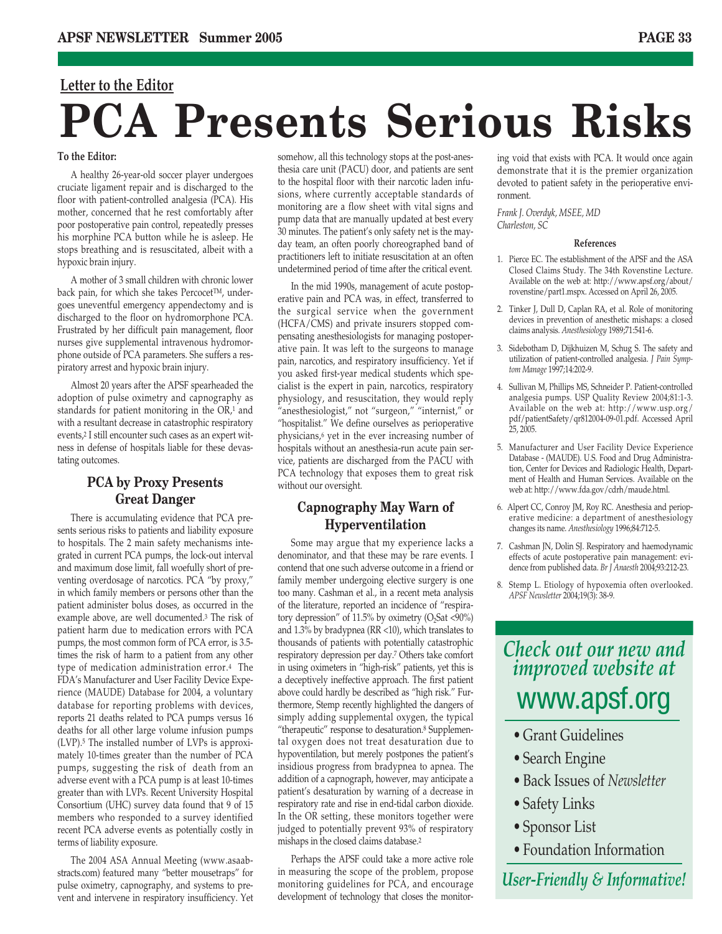### **Letter to the Editor PCA Presents Serious Risks**

#### **To the Editor:**

A healthy 26-year-old soccer player undergoes cruciate ligament repair and is discharged to the floor with patient-controlled analgesia (PCA). His mother, concerned that he rest comfortably after poor postoperative pain control, repeatedly presses his morphine PCA button while he is asleep. He stops breathing and is resuscitated, albeit with a hypoxic brain injury.

A mother of 3 small children with chronic lower back pain, for which she takes Percocet<sup>TM</sup>, undergoes uneventful emergency appendectomy and is discharged to the floor on hydromorphone PCA. Frustrated by her difficult pain management, floor nurses give supplemental intravenous hydromorphone outside of PCA parameters. She suffers a respiratory arrest and hypoxic brain injury.

Almost 20 years after the APSF spearheaded the adoption of pulse oximetry and capnography as standards for patient monitoring in the OR,<sup>1</sup> and with a resultant decrease in catastrophic respiratory events,2 I still encounter such cases as an expert witness in defense of hospitals liable for these devastating outcomes.

#### **PCA by Proxy Presents Great Danger**

There is accumulating evidence that PCA presents serious risks to patients and liability exposure to hospitals. The 2 main safety mechanisms integrated in current PCA pumps, the lock-out interval and maximum dose limit, fall woefully short of preventing overdosage of narcotics. PCA "by proxy," in which family members or persons other than the patient administer bolus doses, as occurred in the example above, are well documented.3 The risk of patient harm due to medication errors with PCA pumps, the most common form of PCA error, is 3.5 times the risk of harm to a patient from any other type of medication administration error.4 The FDA's Manufacturer and User Facility Device Experience (MAUDE) Database for 2004, a voluntary database for reporting problems with devices, reports 21 deaths related to PCA pumps versus 16 deaths for all other large volume infusion pumps (LVP).5 The installed number of LVPs is approximately 10-times greater than the number of PCA pumps, suggesting the risk of death from an adverse event with a PCA pump is at least 10-times greater than with LVPs. Recent University Hospital Consortium (UHC) survey data found that 9 of 15 members who responded to a survey identified recent PCA adverse events as potentially costly in terms of liability exposure.

The 2004 ASA Annual Meeting (www.asaabstracts.com) featured many "better mousetraps" for pulse oximetry, capnography, and systems to prevent and intervene in respiratory insufficiency. Yet somehow, all this technology stops at the post-anesthesia care unit (PACU) door, and patients are sent to the hospital floor with their narcotic laden infusions, where currently acceptable standards of monitoring are a flow sheet with vital signs and pump data that are manually updated at best every 30 minutes. The patient's only safety net is the mayday team, an often poorly choreographed band of practitioners left to initiate resuscitation at an often undetermined period of time after the critical event.

In the mid 1990s, management of acute postoperative pain and PCA was, in effect, transferred to the surgical service when the government (HCFA/CMS) and private insurers stopped compensating anesthesiologists for managing postoperative pain. It was left to the surgeons to manage pain, narcotics, and respiratory insufficiency. Yet if you asked first-year medical students which specialist is the expert in pain, narcotics, respiratory physiology, and resuscitation, they would reply "anesthesiologist," not "surgeon," "internist," or "hospitalist." We define ourselves as perioperative physicians,6 yet in the ever increasing number of hospitals without an anesthesia-run acute pain service, patients are discharged from the PACU with PCA technology that exposes them to great risk without our oversight.

#### **Capnography May Warn of Hyperventilation**

Some may argue that my experience lacks a denominator, and that these may be rare events. I contend that one such adverse outcome in a friend or family member undergoing elective surgery is one too many. Cashman et al., in a recent meta analysis of the literature, reported an incidence of "respiratory depression" of 11.5% by oximetry  $(O_2$ Sat <90%) and 1.3% by bradypnea (RR <10), which translates to thousands of patients with potentially catastrophic respiratory depression per day.7 Others take comfort in using oximeters in "high-risk" patients, yet this is a deceptively ineffective approach. The first patient above could hardly be described as "high risk." Furthermore, Stemp recently highlighted the dangers of simply adding supplemental oxygen, the typical "therapeutic" response to desaturation.8 Supplemental oxygen does not treat desaturation due to hypoventilation, but merely postpones the patient's insidious progress from bradypnea to apnea. The addition of a capnograph, however, may anticipate a patient's desaturation by warning of a decrease in respiratory rate and rise in end-tidal carbon dioxide. In the OR setting, these monitors together were judged to potentially prevent 93% of respiratory mishaps in the closed claims database.2

Perhaps the APSF could take a more active role in measuring the scope of the problem, propose monitoring guidelines for PCA, and encourage development of technology that closes the monitoring void that exists with PCA. It would once again demonstrate that it is the premier organization devoted to patient safety in the perioperative environment.

*Frank J. Overdyk, MSEE, MD Charleston, SC*

#### **References**

- 1. Pierce EC. The establishment of the APSF and the ASA Closed Claims Study. The 34th Rovenstine Lecture. Available on the web at: http://www.apsf.org/about/ rovenstine/part1.mspx. Accessed on April 26, 2005.
- 2. Tinker J, Dull D, Caplan RA, et al. Role of monitoring devices in prevention of anesthetic mishaps: a closed claims analysis. *Anesthesiology* 1989;71:541-6.
- 3. Sidebotham D, Dijkhuizen M, Schug S. The safety and utilization of patient-controlled analgesia. *J Pain Symptom Manage* 1997;14:202-9.
- 4. Sullivan M, Phillips MS, Schneider P. Patient-controlled analgesia pumps. USP Quality Review 2004;81:1-3. Available on the web at: http://www.usp.org/ pdf/patientSafety/qr812004-09-01.pdf. Accessed April 25, 2005.
- 5. Manufacturer and User Facility Device Experience Database - (MAUDE). U.S. Food and Drug Administration, Center for Devices and Radiologic Health, Department of Health and Human Services. Available on the web at: http://www.fda.gov/cdrh/maude.html.
- 6. Alpert CC, Conroy JM, Roy RC. Anesthesia and perioperative medicine: a department of anesthesiology changes its name. *Anesthesiology* 1996;84:712-5.
- 7. Cashman JN, Dolin SJ. Respiratory and haemodynamic effects of acute postoperative pain management: evidence from published data. *Br J Anaesth* 2004;93:212-23.
- 8. Stemp L. Etiology of hypoxemia often overlooked. *APSF Newsletter* 2004;19(3): 38-9.

### *Check out our new and improved website at* www.apsf.org

- Grant Guidelines
- Search Engine
- Back Issues of *Newsletter*
- Safety Links
- Sponsor List
- Foundation Information

*User-Friendly & Informative!*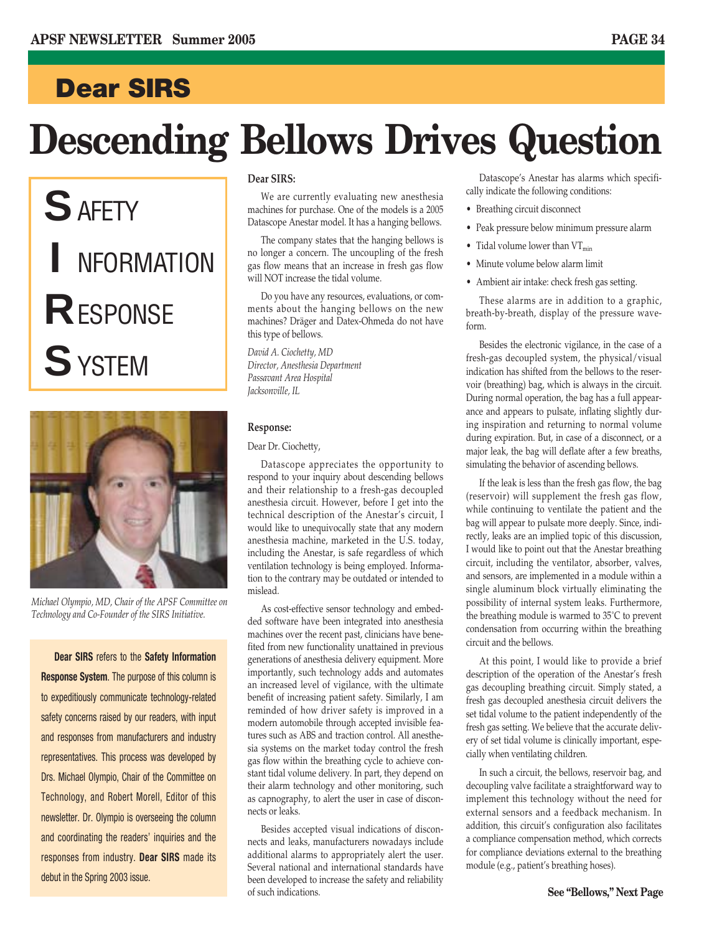### **Dear SIRS**

# **Descending Bellows Drives Question**





*Michael Olympio, MD, Chair of the APSF Committee on Technology and Co-Founder of the SIRS Initiative.*

**Dear SIRS** refers to the **Safety Information Response System**. The purpose of this column is to expeditiously communicate technology-related safety concerns raised by our readers, with input and responses from manufacturers and industry representatives. This process was developed by Drs. Michael Olympio, Chair of the Committee on Technology, and Robert Morell, Editor of this newsletter. Dr. Olympio is overseeing the column and coordinating the readers' inquiries and the responses from industry. **Dear SIRS** made its debut in the Spring 2003 issue.

#### **Dear SIRS:**

We are currently evaluating new anesthesia machines for purchase. One of the models is a 2005 Datascope Anestar model. It has a hanging bellows.

The company states that the hanging bellows is no longer a concern. The uncoupling of the fresh gas flow means that an increase in fresh gas flow will NOT increase the tidal volume.

Do you have any resources, evaluations, or comments about the hanging bellows on the new machines? Dräger and Datex-Ohmeda do not have this type of bellows.

*David A. Ciochetty, MD Director, Anesthesia Department Passavant Area Hospital Jacksonville, IL*

#### **Response:**

#### Dear Dr. Ciochetty,

Datascope appreciates the opportunity to respond to your inquiry about descending bellows and their relationship to a fresh-gas decoupled anesthesia circuit. However, before I get into the technical description of the Anestar's circuit, I would like to unequivocally state that any modern anesthesia machine, marketed in the U.S. today, including the Anestar, is safe regardless of which ventilation technology is being employed. Information to the contrary may be outdated or intended to mislead.

As cost-effective sensor technology and embedded software have been integrated into anesthesia machines over the recent past, clinicians have benefited from new functionality unattained in previous generations of anesthesia delivery equipment. More importantly, such technology adds and automates an increased level of vigilance, with the ultimate benefit of increasing patient safety. Similarly, I am reminded of how driver safety is improved in a modern automobile through accepted invisible features such as ABS and traction control. All anesthesia systems on the market today control the fresh gas flow within the breathing cycle to achieve constant tidal volume delivery. In part, they depend on their alarm technology and other monitoring, such as capnography, to alert the user in case of disconnects or leaks.

Besides accepted visual indications of disconnects and leaks, manufacturers nowadays include additional alarms to appropriately alert the user. Several national and international standards have been developed to increase the safety and reliability of such indications.

Datascope's Anestar has alarms which specifically indicate the following conditions:

- Breathing circuit disconnect
- Peak pressure below minimum pressure alarm
- Tidal volume lower than  $VT_{min}$
- Minute volume below alarm limit
- Ambient air intake: check fresh gas setting.

These alarms are in addition to a graphic, breath-by-breath, display of the pressure waveform.

Besides the electronic vigilance, in the case of a fresh-gas decoupled system, the physical/visual indication has shifted from the bellows to the reservoir (breathing) bag, which is always in the circuit. During normal operation, the bag has a full appearance and appears to pulsate, inflating slightly during inspiration and returning to normal volume during expiration. But, in case of a disconnect, or a major leak, the bag will deflate after a few breaths, simulating the behavior of ascending bellows.

If the leak is less than the fresh gas flow, the bag (reservoir) will supplement the fresh gas flow, while continuing to ventilate the patient and the bag will appear to pulsate more deeply. Since, indirectly, leaks are an implied topic of this discussion, I would like to point out that the Anestar breathing circuit, including the ventilator, absorber, valves, and sensors, are implemented in a module within a single aluminum block virtually eliminating the possibility of internal system leaks. Furthermore, the breathing module is warmed to 35˚C to prevent condensation from occurring within the breathing circuit and the bellows.

At this point, I would like to provide a brief description of the operation of the Anestar's fresh gas decoupling breathing circuit. Simply stated, a fresh gas decoupled anesthesia circuit delivers the set tidal volume to the patient independently of the fresh gas setting. We believe that the accurate delivery of set tidal volume is clinically important, especially when ventilating children.

In such a circuit, the bellows, reservoir bag, and decoupling valve facilitate a straightforward way to implement this technology without the need for external sensors and a feedback mechanism. In addition, this circuit's configuration also facilitates a compliance compensation method, which corrects for compliance deviations external to the breathing module (e.g., patient's breathing hoses).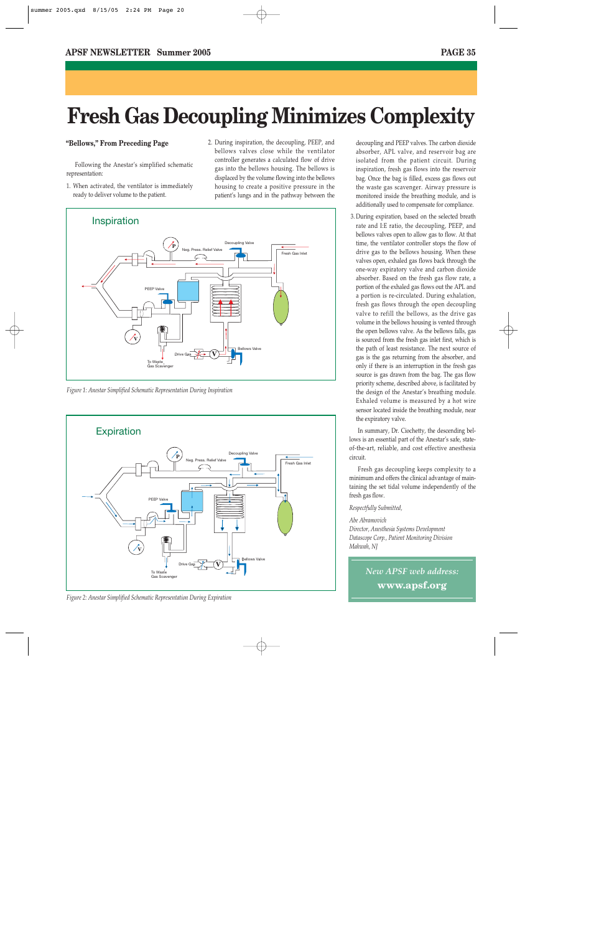# **Fresh Gas Decoupling Minimizes Complexity**

#### **"Bellows," From Preceding Page**

Following the Anestar's simplified schematic representation:

1. When activated, the ventilator is immediately ready to deliver volume to the patient.





*Figure 1: Anestar Simplified Schematic Representation During Inspiration*



*Figure 2: Anestar Simplified Schematic Representation During Expiration*

decoupling and PEEP valves. The carbon dioxide absorber, APL valve, and reservoir bag are isolated from the patient circuit. During inspiration, fresh gas flows into the reservoir bag. Once the bag is filled, excess gas flows out the waste gas scavenger. Airway pressure is monitored inside the breathing module, and is additionally used to compensate for compliance.

3. During expiration, based on the selected breath rate and I:E ratio, the decoupling, PEEP, and bellows valves open to allow gas to flow. At that time, the ventilator controller stops the flow of drive gas to the bellows housing. When these valves open, exhaled gas flows back through the one-way expiratory valve and carbon dioxide absorber. Based on the fresh gas flow rate, a portion of the exhaled gas flows out the APL and a portion is re-circulated. During exhalation, fresh gas flows through the open decoupling valve to refill the bellows, as the drive gas volume in the bellows housing is vented through the open bellows valve. As the bellows falls, gas is sourced from the fresh gas inlet first, which is the path of least resistance. The next source of gas is the gas returning from the absorber, and only if there is an interruption in the fresh gas source is gas drawn from the bag. The gas flow priority scheme, described above, is facilitated by the design of the Anestar's breathing module. Exhaled volume is measured by a hot wire sensor located inside the breathing module, near the expiratory valve.

In summary, Dr. Ciochetty, the descending bellows is an essential part of the Anestar's safe, stateof-the-art, reliable, and cost effective anesthesia circuit.

Fresh gas decoupling keeps complexity to a minimum and offers the clinical advantage of maintaining the set tidal volume independently of the fresh gas flow.

*Respectfully Submitted,*

#### *Abe Abramovich*

*Director, Anesthesia Systems Development Datascope Corp., Patient Monitoring Division Mahwah, NJ*

> *New APSF web address:* **www.apsf.org**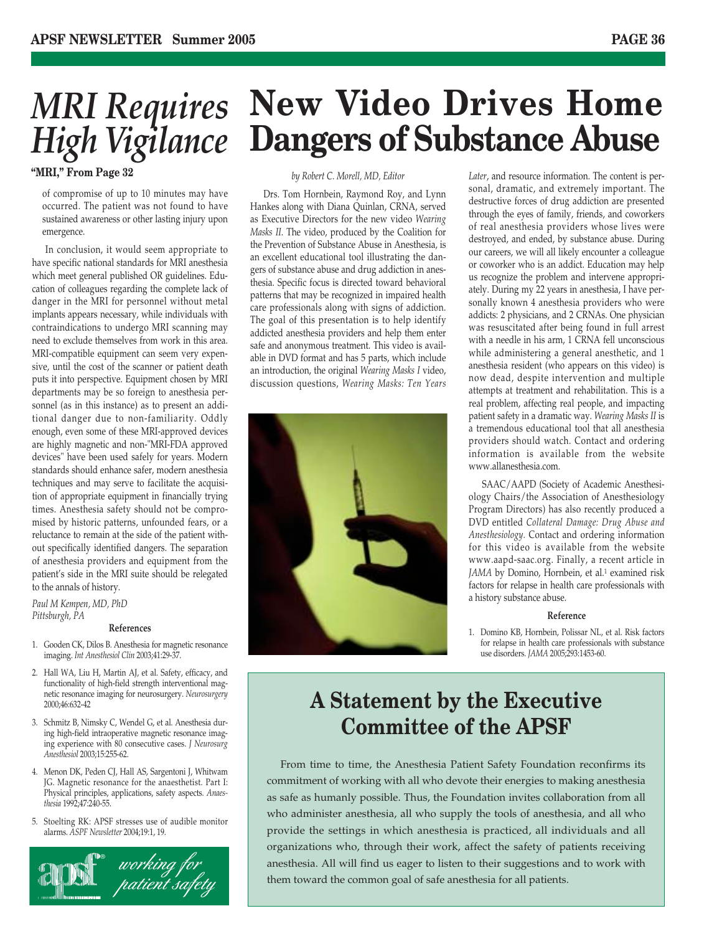### **New Video Drives Home Dangers of Substance Abuse**

#### **"MRI," From Page 32**

of compromise of up to 10 minutes may have occurred. The patient was not found to have sustained awareness or other lasting injury upon emergence.

*MRI Requires*

*High Vigilance*

In conclusion, it would seem appropriate to have specific national standards for MRI anesthesia which meet general published OR guidelines. Education of colleagues regarding the complete lack of danger in the MRI for personnel without metal implants appears necessary, while individuals with contraindications to undergo MRI scanning may need to exclude themselves from work in this area. MRI-compatible equipment can seem very expensive, until the cost of the scanner or patient death puts it into perspective. Equipment chosen by MRI departments may be so foreign to anesthesia personnel (as in this instance) as to present an additional danger due to non-familiarity. Oddly enough, even some of these MRI-approved devices are highly magnetic and non-"MRI-FDA approved devices" have been used safely for years. Modern standards should enhance safer, modern anesthesia techniques and may serve to facilitate the acquisition of appropriate equipment in financially trying times. Anesthesia safety should not be compromised by historic patterns, unfounded fears, or a reluctance to remain at the side of the patient without specifically identified dangers. The separation of anesthesia providers and equipment from the patient's side in the MRI suite should be relegated to the annals of history.

*Paul M Kempen, MD, PhD Pittsburgh, PA*

#### **References**

- 1. Gooden CK, Dilos B. Anesthesia for magnetic resonance imaging. *Int Anesthesiol Clin* 2003;41:29-37.
- 2. Hall WA, Liu H, Martin AJ, et al. Safety, efficacy, and functionality of high-field strength interventional magnetic resonance imaging for neurosurgery. *Neurosurgery* 2000;46:632-42
- 3. Schmitz B, Nimsky C, Wendel G, et al. Anesthesia during high-field intraoperative magnetic resonance imaging experience with 80 consecutive cases. *J Neurosurg Anesthesiol* 2003;15:255-62.
- 4. Menon DK, Peden CJ, Hall AS, Sargentoni J, Whitwam JG. Magnetic resonance for the anaesthetist. Part I: Physical principles, applications, safety aspects. *Anaesthesia* 1992;47:240-55.
- 5. Stoelting RK: APSF stresses use of audible monitor alarms. *ASPF Newsletter* 2004;19:1, 19.



#### *by Robert C. Morell, MD, Editor*

Drs. Tom Hornbein, Raymond Roy, and Lynn Hankes along with Diana Quinlan, CRNA, served as Executive Directors for the new video *Wearing Masks II*. The video, produced by the Coalition for the Prevention of Substance Abuse in Anesthesia, is an excellent educational tool illustrating the dangers of substance abuse and drug addiction in anesthesia. Specific focus is directed toward behavioral patterns that may be recognized in impaired health care professionals along with signs of addiction. The goal of this presentation is to help identify addicted anesthesia providers and help them enter safe and anonymous treatment. This video is available in DVD format and has 5 parts, which include an introduction, the original *Wearing Masks I* video, discussion questions, *Wearing Masks: Ten Years*



*Later*, and resource information. The content is personal, dramatic, and extremely important. The destructive forces of drug addiction are presented through the eyes of family, friends, and coworkers of real anesthesia providers whose lives were destroyed, and ended, by substance abuse. During our careers, we will all likely encounter a colleague or coworker who is an addict. Education may help us recognize the problem and intervene appropriately. During my 22 years in anesthesia, I have personally known 4 anesthesia providers who were addicts: 2 physicians, and 2 CRNAs. One physician was resuscitated after being found in full arrest with a needle in his arm, 1 CRNA fell unconscious while administering a general anesthetic, and 1 anesthesia resident (who appears on this video) is now dead, despite intervention and multiple attempts at treatment and rehabilitation. This is a real problem, affecting real people, and impacting patient safety in a dramatic way. *Wearing Masks II* is a tremendous educational tool that all anesthesia providers should watch. Contact and ordering information is available from the website www.allanesthesia.com.

SAAC/AAPD (Society of Academic Anesthesiology Chairs/the Association of Anesthesiology Program Directors) has also recently produced a DVD entitled *Collateral Damage: Drug Abuse and Anesthesiology.* Contact and ordering information for this video is available from the website www.aapd-saac.org. Finally, a recent article in *JAMA* by Domino, Hornbein, et al.1 examined risk factors for relapse in health care professionals with a history substance abuse.

#### **Reference**

1. Domino KB, Hornbein, Polissar NL, et al. Risk factors for relapse in health care professionals with substance use disorders. *JAMA* 2005;293:1453-60.

### **A Statement by the Executive Committee of the APSF**

From time to time, the Anesthesia Patient Safety Foundation reconfirms its commitment of working with all who devote their energies to making anesthesia as safe as humanly possible. Thus, the Foundation invites collaboration from all who administer anesthesia, all who supply the tools of anesthesia, and all who provide the settings in which anesthesia is practiced, all individuals and all organizations who, through their work, affect the safety of patients receiving anesthesia. All will find us eager to listen to their suggestions and to work with them toward the common goal of safe anesthesia for all patients.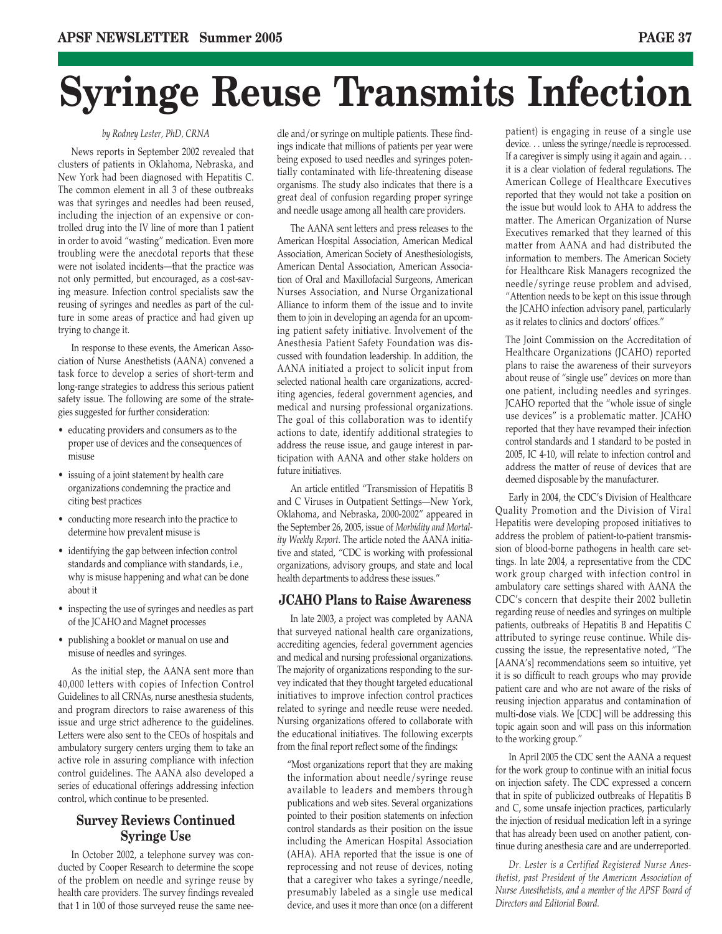# **Syringe Reuse Transmits Infection**

#### *by Rodney Lester, PhD, CRNA*

News reports in September 2002 revealed that clusters of patients in Oklahoma, Nebraska, and New York had been diagnosed with Hepatitis C. The common element in all 3 of these outbreaks was that syringes and needles had been reused, including the injection of an expensive or controlled drug into the IV line of more than 1 patient in order to avoid "wasting" medication. Even more troubling were the anecdotal reports that these were not isolated incidents—that the practice was not only permitted, but encouraged, as a cost-saving measure. Infection control specialists saw the reusing of syringes and needles as part of the culture in some areas of practice and had given up trying to change it.

In response to these events, the American Association of Nurse Anesthetists (AANA) convened a task force to develop a series of short-term and long-range strategies to address this serious patient safety issue. The following are some of the strategies suggested for further consideration:

- educating providers and consumers as to the proper use of devices and the consequences of misuse
- issuing of a joint statement by health care organizations condemning the practice and citing best practices
- conducting more research into the practice to determine how prevalent misuse is
- identifying the gap between infection control standards and compliance with standards, i.e., why is misuse happening and what can be done about it
- inspecting the use of syringes and needles as part of the JCAHO and Magnet processes
- publishing a booklet or manual on use and misuse of needles and syringes.

As the initial step, the AANA sent more than 40,000 letters with copies of Infection Control Guidelines to all CRNAs, nurse anesthesia students, and program directors to raise awareness of this issue and urge strict adherence to the guidelines. Letters were also sent to the CEOs of hospitals and ambulatory surgery centers urging them to take an active role in assuring compliance with infection control guidelines. The AANA also developed a series of educational offerings addressing infection control, which continue to be presented.

#### **Survey Reviews Continued Syringe Use**

In October 2002, a telephone survey was conducted by Cooper Research to determine the scope of the problem on needle and syringe reuse by health care providers. The survey findings revealed that 1 in 100 of those surveyed reuse the same needle and/or syringe on multiple patients. These findings indicate that millions of patients per year were being exposed to used needles and syringes potentially contaminated with life-threatening disease organisms. The study also indicates that there is a great deal of confusion regarding proper syringe and needle usage among all health care providers.

The AANA sent letters and press releases to the American Hospital Association, American Medical Association, American Society of Anesthesiologists, American Dental Association, American Association of Oral and Maxillofacial Surgeons, American Nurses Association, and Nurse Organizational Alliance to inform them of the issue and to invite them to join in developing an agenda for an upcoming patient safety initiative. Involvement of the Anesthesia Patient Safety Foundation was discussed with foundation leadership. In addition, the AANA initiated a project to solicit input from selected national health care organizations, accrediting agencies, federal government agencies, and medical and nursing professional organizations. The goal of this collaboration was to identify actions to date, identify additional strategies to address the reuse issue, and gauge interest in participation with AANA and other stake holders on future initiatives.

An article entitled "Transmission of Hepatitis B and C Viruses in Outpatient Settings—New York, Oklahoma, and Nebraska, 2000-2002" appeared in the September 26, 2005, issue of *Morbidity and Mortality Weekly Report*. The article noted the AANA initiative and stated, "CDC is working with professional organizations, advisory groups, and state and local health departments to address these issues."

#### **JCAHO Plans to Raise Awareness**

In late 2003, a project was completed by AANA that surveyed national health care organizations, accrediting agencies, federal government agencies and medical and nursing professional organizations. The majority of organizations responding to the survey indicated that they thought targeted educational initiatives to improve infection control practices related to syringe and needle reuse were needed. Nursing organizations offered to collaborate with the educational initiatives. The following excerpts from the final report reflect some of the findings:

"Most organizations report that they are making the information about needle/syringe reuse available to leaders and members through publications and web sites. Several organizations pointed to their position statements on infection control standards as their position on the issue including the American Hospital Association (AHA). AHA reported that the issue is one of reprocessing and not reuse of devices, noting that a caregiver who takes a syringe/needle, presumably labeled as a single use medical device, and uses it more than once (on a different patient) is engaging in reuse of a single use device. . . unless the syringe/needle is reprocessed. If a caregiver is simply using it again and again. . . it is a clear violation of federal regulations. The American College of Healthcare Executives reported that they would not take a position on the issue but would look to AHA to address the matter. The American Organization of Nurse Executives remarked that they learned of this matter from AANA and had distributed the information to members. The American Society for Healthcare Risk Managers recognized the needle/syringe reuse problem and advised, "Attention needs to be kept on this issue through the JCAHO infection advisory panel, particularly as it relates to clinics and doctors' offices."

The Joint Commission on the Accreditation of Healthcare Organizations (JCAHO) reported plans to raise the awareness of their surveyors about reuse of "single use" devices on more than one patient, including needles and syringes. JCAHO reported that the "whole issue of single use devices" is a problematic matter. JCAHO reported that they have revamped their infection control standards and 1 standard to be posted in 2005, IC 4-10, will relate to infection control and address the matter of reuse of devices that are deemed disposable by the manufacturer.

Early in 2004, the CDC's Division of Healthcare Quality Promotion and the Division of Viral Hepatitis were developing proposed initiatives to address the problem of patient-to-patient transmission of blood-borne pathogens in health care settings. In late 2004, a representative from the CDC work group charged with infection control in ambulatory care settings shared with AANA the CDC's concern that despite their 2002 bulletin regarding reuse of needles and syringes on multiple patients, outbreaks of Hepatitis B and Hepatitis C attributed to syringe reuse continue. While discussing the issue, the representative noted, "The [AANA's] recommendations seem so intuitive, yet it is so difficult to reach groups who may provide patient care and who are not aware of the risks of reusing injection apparatus and contamination of multi-dose vials. We [CDC] will be addressing this topic again soon and will pass on this information to the working group."

In April 2005 the CDC sent the AANA a request for the work group to continue with an initial focus on injection safety. The CDC expressed a concern that in spite of publicized outbreaks of Hepatitis B and C, some unsafe injection practices, particularly the injection of residual medication left in a syringe that has already been used on another patient, continue during anesthesia care and are underreported.

*Dr. Lester is a Certified Registered Nurse Anesthetist, past President of the American Association of Nurse Anesthetists, and a member of the APSF Board of Directors and Editorial Board.*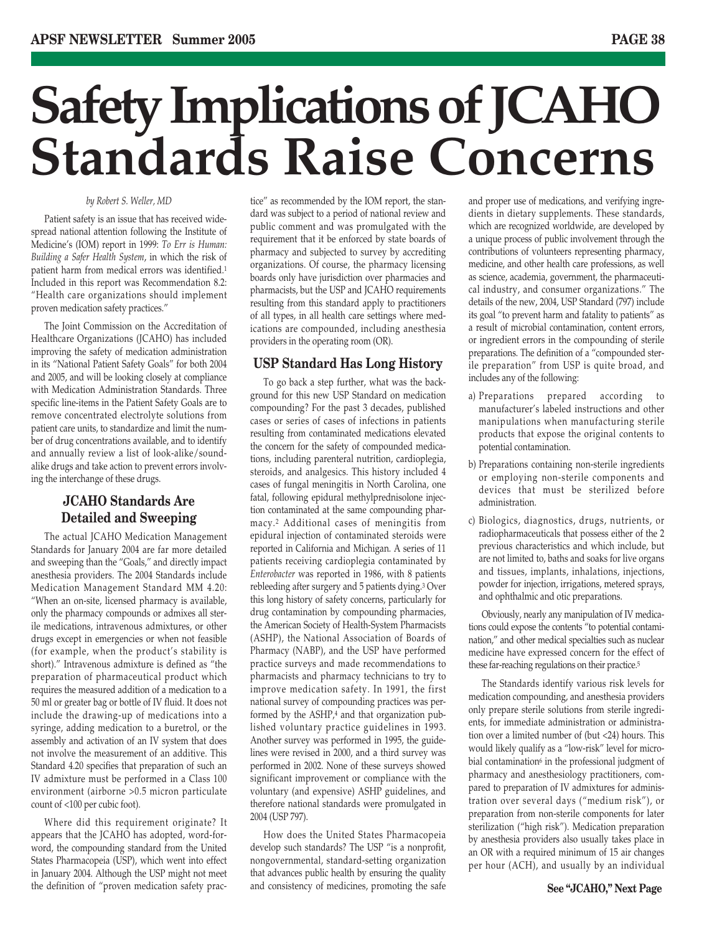# **Safety Implications of JCAHO Standards Raise Concerns**

#### *by Robert S. Weller, MD*

Patient safety is an issue that has received widespread national attention following the Institute of Medicine's (IOM) report in 1999: *To Err is Human: Building a Safer Health System*, in which the risk of patient harm from medical errors was identified.1 Included in this report was Recommendation 8.2: "Health care organizations should implement proven medication safety practices."

The Joint Commission on the Accreditation of Healthcare Organizations (JCAHO) has included improving the safety of medication administration in its "National Patient Safety Goals" for both 2004 and 2005, and will be looking closely at compliance with Medication Administration Standards. Three specific line-items in the Patient Safety Goals are to remove concentrated electrolyte solutions from patient care units, to standardize and limit the number of drug concentrations available, and to identify and annually review a list of look-alike/soundalike drugs and take action to prevent errors involving the interchange of these drugs.

#### **JCAHO Standards Are Detailed and Sweeping**

The actual JCAHO Medication Management Standards for January 2004 are far more detailed and sweeping than the "Goals," and directly impact anesthesia providers. The 2004 Standards include Medication Management Standard MM 4.20: "When an on-site, licensed pharmacy is available, only the pharmacy compounds or admixes all sterile medications, intravenous admixtures, or other drugs except in emergencies or when not feasible (for example, when the product's stability is short)." Intravenous admixture is defined as "the preparation of pharmaceutical product which requires the measured addition of a medication to a 50 ml or greater bag or bottle of IV fluid. It does not include the drawing-up of medications into a syringe, adding medication to a buretrol, or the assembly and activation of an IV system that does not involve the measurement of an additive. This Standard 4.20 specifies that preparation of such an IV admixture must be performed in a Class 100 environment (airborne >0.5 micron particulate count of <100 per cubic foot).

Where did this requirement originate? It appears that the JCAHO has adopted, word-forword, the compounding standard from the United States Pharmacopeia (USP), which went into effect in January 2004. Although the USP might not meet the definition of "proven medication safety practice" as recommended by the IOM report, the standard was subject to a period of national review and public comment and was promulgated with the requirement that it be enforced by state boards of pharmacy and subjected to survey by accrediting organizations. Of course, the pharmacy licensing boards only have jurisdiction over pharmacies and pharmacists, but the USP and JCAHO requirements resulting from this standard apply to practitioners of all types, in all health care settings where medications are compounded, including anesthesia providers in the operating room (OR).

#### **USP Standard Has Long History**

To go back a step further, what was the background for this new USP Standard on medication compounding? For the past 3 decades, published cases or series of cases of infections in patients resulting from contaminated medications elevated the concern for the safety of compounded medications, including parenteral nutrition, cardioplegia, steroids, and analgesics. This history included 4 cases of fungal meningitis in North Carolina, one fatal, following epidural methylprednisolone injection contaminated at the same compounding pharmacy.2 Additional cases of meningitis from epidural injection of contaminated steroids were reported in California and Michigan. A series of 11 patients receiving cardioplegia contaminated by *Enterobacter* was reported in 1986, with 8 patients rebleeding after surgery and 5 patients dying.3 Over this long history of safety concerns, particularly for drug contamination by compounding pharmacies, the American Society of Health-System Pharmacists (ASHP), the National Association of Boards of Pharmacy (NABP), and the USP have performed practice surveys and made recommendations to pharmacists and pharmacy technicians to try to improve medication safety. In 1991, the first national survey of compounding practices was performed by the  $ASHP,4$  and that organization published voluntary practice guidelines in 1993. Another survey was performed in 1995, the guidelines were revised in 2000, and a third survey was performed in 2002. None of these surveys showed significant improvement or compliance with the voluntary (and expensive) ASHP guidelines, and therefore national standards were promulgated in 2004 (USP 797).

How does the United States Pharmacopeia develop such standards? The USP "is a nonprofit, nongovernmental, standard-setting organization that advances public health by ensuring the quality and consistency of medicines, promoting the safe

and proper use of medications, and verifying ingredients in dietary supplements. These standards, which are recognized worldwide, are developed by a unique process of public involvement through the contributions of volunteers representing pharmacy, medicine, and other health care professions, as well as science, academia, government, the pharmaceutical industry, and consumer organizations." The details of the new, 2004, USP Standard (797) include its goal "to prevent harm and fatality to patients" as a result of microbial contamination, content errors, or ingredient errors in the compounding of sterile preparations. The definition of a "compounded sterile preparation" from USP is quite broad, and includes any of the following:

- a) Preparations prepared according to manufacturer's labeled instructions and other manipulations when manufacturing sterile products that expose the original contents to potential contamination.
- b) Preparations containing non-sterile ingredients or employing non-sterile components and devices that must be sterilized before administration.
- c) Biologics, diagnostics, drugs, nutrients, or radiopharmaceuticals that possess either of the 2 previous characteristics and which include, but are not limited to, baths and soaks for live organs and tissues, implants, inhalations, injections, powder for injection, irrigations, metered sprays, and ophthalmic and otic preparations.

Obviously, nearly any manipulation of IV medications could expose the contents "to potential contamination," and other medical specialties such as nuclear medicine have expressed concern for the effect of these far-reaching regulations on their practice.5

The Standards identify various risk levels for medication compounding, and anesthesia providers only prepare sterile solutions from sterile ingredients, for immediate administration or administration over a limited number of (but <24) hours. This would likely qualify as a "low-risk" level for microbial contamination<sup>6</sup> in the professional judgment of pharmacy and anesthesiology practitioners, compared to preparation of IV admixtures for administration over several days ("medium risk"), or preparation from non-sterile components for later sterilization ("high risk"). Medication preparation by anesthesia providers also usually takes place in an OR with a required minimum of 15 air changes per hour (ACH), and usually by an individual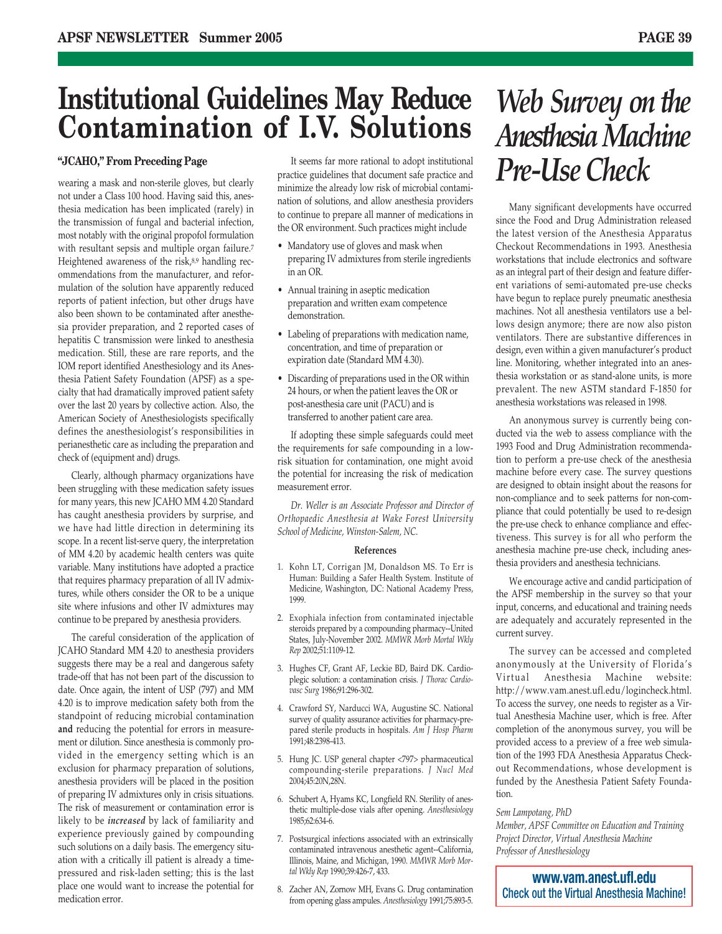### **Institutional Guidelines May Reduce Contamination of I.V. Solutions**

#### **"JCAHO," From Preceding Page**

wearing a mask and non-sterile gloves, but clearly not under a Class 100 hood. Having said this, anesthesia medication has been implicated (rarely) in the transmission of fungal and bacterial infection, most notably with the original propofol formulation with resultant sepsis and multiple organ failure.7 Heightened awareness of the risk, $8.9$  handling recommendations from the manufacturer, and reformulation of the solution have apparently reduced reports of patient infection, but other drugs have also been shown to be contaminated after anesthesia provider preparation, and 2 reported cases of hepatitis C transmission were linked to anesthesia medication. Still, these are rare reports, and the IOM report identified Anesthesiology and its Anesthesia Patient Safety Foundation (APSF) as a specialty that had dramatically improved patient safety over the last 20 years by collective action. Also, the American Society of Anesthesiologists specifically defines the anesthesiologist's responsibilities in perianesthetic care as including the preparation and check of (equipment and) drugs.

Clearly, although pharmacy organizations have been struggling with these medication safety issues for many years, this new JCAHO MM 4.20 Standard has caught anesthesia providers by surprise, and we have had little direction in determining its scope. In a recent list-serve query, the interpretation of MM 4.20 by academic health centers was quite variable. Many institutions have adopted a practice that requires pharmacy preparation of all IV admixtures, while others consider the OR to be a unique site where infusions and other IV admixtures may continue to be prepared by anesthesia providers.

The careful consideration of the application of JCAHO Standard MM 4.20 to anesthesia providers suggests there may be a real and dangerous safety trade-off that has not been part of the discussion to date. Once again, the intent of USP (797) and MM 4.20 is to improve medication safety both from the standpoint of reducing microbial contamination **and** reducing the potential for errors in measurement or dilution. Since anesthesia is commonly provided in the emergency setting which is an exclusion for pharmacy preparation of solutions, anesthesia providers will be placed in the position of preparing IV admixtures only in crisis situations. The risk of measurement or contamination error is likely to be *increased* by lack of familiarity and experience previously gained by compounding such solutions on a daily basis. The emergency situation with a critically ill patient is already a timepressured and risk-laden setting; this is the last place one would want to increase the potential for medication error.

It seems far more rational to adopt institutional practice guidelines that document safe practice and minimize the already low risk of microbial contamination of solutions, and allow anesthesia providers to continue to prepare all manner of medications in the OR environment. Such practices might include

- Mandatory use of gloves and mask when preparing IV admixtures from sterile ingredients in an OR.
- Annual training in aseptic medication preparation and written exam competence demonstration.
- Labeling of preparations with medication name, concentration, and time of preparation or expiration date (Standard MM 4.30).
- Discarding of preparations used in the OR within 24 hours, or when the patient leaves the OR or post-anesthesia care unit (PACU) and is transferred to another patient care area.

If adopting these simple safeguards could meet the requirements for safe compounding in a lowrisk situation for contamination, one might avoid the potential for increasing the risk of medication measurement error.

*Dr. Weller is an Associate Professor and Director of Orthopaedic Anesthesia at Wake Forest University School of Medicine, Winston-Salem, NC.*

#### **References**

- 1. Kohn LT, Corrigan JM, Donaldson MS. To Err is Human: Building a Safer Health System. Institute of Medicine, Washington, DC: National Academy Press, 1999.
- 2. Exophiala infection from contaminated injectable steroids prepared by a compounding pharmacy--United States, July-November 2002. *MMWR Morb Mortal Wkly Rep* 2002;51:1109-12.
- 3. Hughes CF, Grant AF, Leckie BD, Baird DK. Cardioplegic solution: a contamination crisis. *J Thorac Cardiovasc Surg* 1986;91:296-302.
- 4. Crawford SY, Narducci WA, Augustine SC. National survey of quality assurance activities for pharmacy-prepared sterile products in hospitals. *Am J Hosp Pharm* 1991;48:2398-413.
- 5. Hung JC. USP general chapter <797> pharmaceutical compounding-sterile preparations. *J Nucl Med* 2004;45:20N,28N.
- 6. Schubert A, Hyams KC, Longfield RN. Sterility of anesthetic multiple-dose vials after opening. *Anesthesiology* 1985;62:634-6.
- 7. Postsurgical infections associated with an extrinsically contaminated intravenous anesthetic agent--California, Illinois, Maine, and Michigan, 1990. *MMWR Morb Mortal Wkly Rep* 1990;39:426-7, 433.
- 8. Zacher AN, Zornow MH, Evans G. Drug contamination from opening glass ampules. *Anesthesiology* 1991;75:893-5.

### *Web Survey on the Anesthesia Machine Pre-Use Check*

Many significant developments have occurred since the Food and Drug Administration released the latest version of the Anesthesia Apparatus Checkout Recommendations in 1993. Anesthesia workstations that include electronics and software as an integral part of their design and feature different variations of semi-automated pre-use checks have begun to replace purely pneumatic anesthesia machines. Not all anesthesia ventilators use a bellows design anymore; there are now also piston ventilators. There are substantive differences in design, even within a given manufacturer's product line. Monitoring, whether integrated into an anesthesia workstation or as stand-alone units, is more prevalent. The new ASTM standard F-1850 for anesthesia workstations was released in 1998.

An anonymous survey is currently being conducted via the web to assess compliance with the 1993 Food and Drug Administration recommendation to perform a pre-use check of the anesthesia machine before every case. The survey questions are designed to obtain insight about the reasons for non-compliance and to seek patterns for non-compliance that could potentially be used to re-design the pre-use check to enhance compliance and effectiveness. This survey is for all who perform the anesthesia machine pre-use check, including anesthesia providers and anesthesia technicians.

We encourage active and candid participation of the APSF membership in the survey so that your input, concerns, and educational and training needs are adequately and accurately represented in the current survey.

The survey can be accessed and completed anonymously at the University of Florida's Virtual Anesthesia Machine website: http://www.vam.anest.ufl.edu/logincheck.html. To access the survey, one needs to register as a Virtual Anesthesia Machine user, which is free. After completion of the anonymous survey, you will be provided access to a preview of a free web simulation of the 1993 FDA Anesthesia Apparatus Checkout Recommendations, whose development is funded by the Anesthesia Patient Safety Foundation.

#### *Sem Lampotang, PhD*

*Member, APSF Committee on Education and Training Project Director, Virtual Anesthesia Machine Professor of Anesthesiology*

**www.vam.anest.ufl.edu** Check out the Virtual Anesthesia Machine!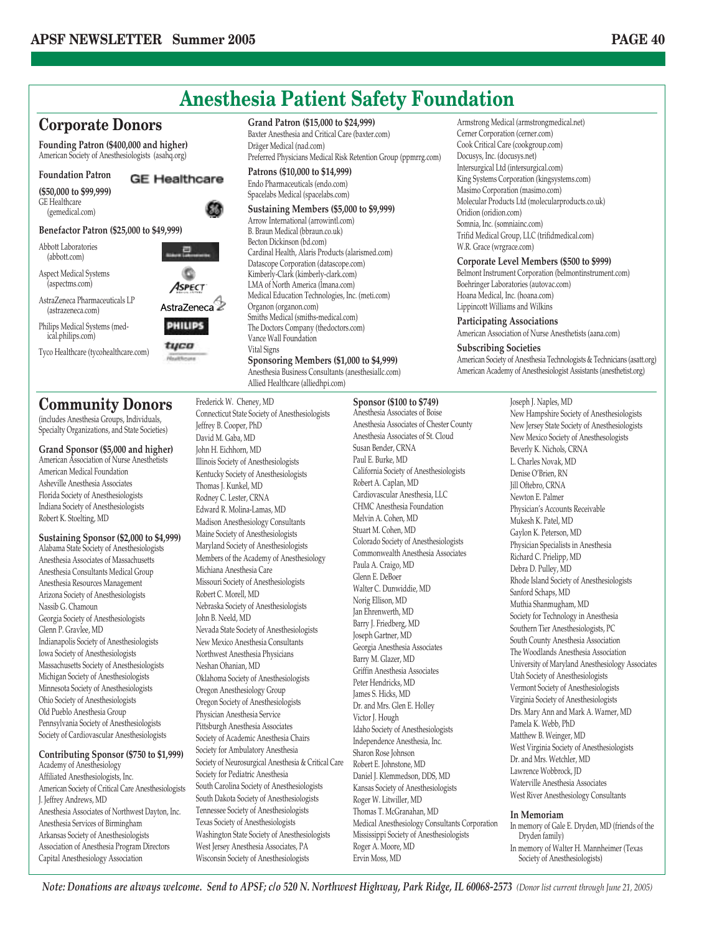### **Anesthesia Patient Safety Foundation**

#### **Corporate Donors**

**Founding Patron (\$400,000 and higher)** American Society of Anesthesiologists (asahq.org)

#### **Foundation Patron**

**(\$50,000 to \$99,999)** GE Healthcare (gemedical.com)



#### **Benefactor Patron (\$25,000 to \$49,999)**

Abbott Laboratories (abbott.com)

Aspect Medical Systems (aspectms.com)

AstraZeneca Pharmaceuticals LP (astrazeneca.com)

Philips Medical Systems (med ical.philips.com)

Tyco Healthcare (tycohealthcare.com)

#### **Community Donors**

(includes Anesthesia Groups, Individuals, Specialty Organizations, and State Societies)

**Grand Sponsor (\$5,000 and higher)** American Association of Nurse Anesthetists

American Medical Foundation Asheville Anesthesia Associates Florida Society of Anesthesiologists Indiana Society of Anesthesiologists Robert K. Stoelting, MD

#### **Sustaining Sponsor (\$2,000 to \$4,999)**

Alabama State Society of Anesthesiologists Anesthesia Associates of Massachusetts Anesthesia Consultants Medical Group Anesthesia Resources Management Arizona Society of Anesthesiologists Nassib G. Chamoun Georgia Society of Anesthesiologists Glenn P. Gravlee, MD Indianapolis Society of Anesthesiologists Iowa Society of Anesthesiologists Massachusetts Society of Anesthesiologists Michigan Society of Anesthesiologists Minnesota Society of Anesthesiologists Ohio Society of Anesthesiologists Old Pueblo Anesthesia Group Pennsylvania Society of Anesthesiologists Society of Cardiovascular Anesthesiologists

#### **Contributing Sponsor (\$750 to \$1,999)**

Academy of Anesthesiology Affiliated Anesthesiologists, Inc. American Society of Critical Care Anesthesiologists J. Jeffrey Andrews, MD Anesthesia Associates of Northwest Dayton, Inc. Anesthesia Services of Birmingham Arkansas Society of Anesthesiologists Association of Anesthesia Program Directors Capital Anesthesiology Association

#### **Grand Patron (\$15,000 to \$24,999)**

Baxter Anesthesia and Critical Care (baxter.com) Dräger Medical (nad.com) Preferred Physicians Medical Risk Retention Group (ppmrrg.com)

#### **Patrons (\$10,000 to \$14,999)**

Endo Pharmaceuticals (endo.com) Spacelabs Medical (spacelabs.com)

#### **Sustaining Members (\$5,000 to \$9,999)**

Arrow International (arrowintl.com) B. Braun Medical (bbraun.co.uk) Becton Dickinson (bd.com) Cardinal Health, Alaris Products (alarismed.com) Datascope Corporation (datascope.com) Kimberly-Clark (kimberly-clark.com) LMA of North America (lmana.com) Medical Education Technologies, Inc. (meti.com) Organon (organon.com) Smiths Medical (smiths-medical.com) The Doctors Company (thedoctors.com) Vance Wall Foundation Vital Signs **Sponsoring Members (\$1,000 to \$4,999)** Anesthesia Business Consultants (anesthesiallc.com) Allied Healthcare (alliedhpi.com)

**Sponsor (\$100 to \$749)**

Connecticut State Society of Anesthesiologists Members of the Academy of Anesthesiology Society of Neurosurgical Anesthesia & Critical Care South Carolina Society of Anesthesiologists Washington State Society of Anesthesiologists Anesthesia Associates of Boise Anesthesia Associates of Chester County Anesthesia Associates of St. Cloud Susan Bender, CRNA Paul E. Burke, MD California Society of Anesthesiologists Robert A. Caplan, MD Cardiovascular Anesthesia, LLC CHMC Anesthesia Foundation Melvin A. Cohen, MD Stuart M. Cohen, MD Colorado Society of Anesthesiologists Commonwealth Anesthesia Associates Paula A. Craigo, MD Glenn E. DeBoer Walter C. Dunwiddie, MD Norig Ellison, MD Jan Ehrenwerth, MD Barry J. Friedberg, MD Joseph Gartner, MD Georgia Anesthesia Associates Barry M. Glazer, MD Griffin Anesthesia Associates Peter Hendricks, MD James S. Hicks, MD Dr. and Mrs. Glen E. Holley Victor J. Hough Idaho Society of Anesthesiologists Independence Anesthesia, Inc. Sharon Rose Johnson Robert E. Johnstone, MD Daniel J. Klemmedson, DDS, MD Kansas Society of Anesthesiologists Roger W. Litwiller, MD Thomas T. McGranahan, MD Medical Anesthesiology Consultants Corporation Mississippi Society of Anesthesiologists Roger A. Moore, MD Ervin Moss, MD

Armstrong Medical (armstrongmedical.net) Cerner Corporation (cerner.com) Cook Critical Care (cookgroup.com) Docusys, Inc. (docusys.net) Intersurgical Ltd (intersurgical.com) King Systems Corporation (kingsystems.com) Masimo Corporation (masimo.com) Molecular Products Ltd (molecularproducts.co.uk) Oridion (oridion.com) Somnia, Inc. (somniainc.com) Trifid Medical Group, LLC (trifidmedical.com) W.R. Grace (wrgrace.com)

#### **Corporate Level Members (\$500 to \$999)**

Belmont Instrument Corporation (belmontinstrument.com) Boehringer Laboratories (autovac.com) Hoana Medical, Inc. (hoana.com) Lippincott Williams and Wilkins

**Participating Associations** American Association of Nurse Anesthetists (aana.com)

#### **Subscribing Societies**

American Society of Anesthesia Technologists & Technicians (asatt.org) American Academy of Anesthesiologist Assistants (anesthetist.org)

> Joseph J. Naples, MD New Hampshire Society of Anesthesiologists New Jersey State Society of Anesthesiologists New Mexico Society of Anesthesologists Beverly K. Nichols, CRNA L. Charles Novak, MD Denise O'Brien, RN Jill Oftebro, CRNA Newton E. Palmer Physician's Accounts Receivable Mukesh K. Patel, MD Gaylon K. Peterson, MD Physician Specialists in Anesthesia Richard C. Prielipp, MD Debra D. Pulley, MD Rhode Island Society of Anesthesiologists Sanford Schaps, MD Muthia Shanmugham, MD Society for Technology in Anesthesia Southern Tier Anesthesiologists, PC South County Anesthesia Association The Woodlands Anesthesia Association University of Maryland Anesthesiology Associates Utah Society of Anesthesiologists Vermont Society of Anesthesiologists Virginia Society of Anesthesiologists Drs. Mary Ann and Mark A. Warner, MD Pamela K. Webb, PhD Matthew B. Weinger, MD West Virginia Society of Anesthesiologists Dr. and Mrs. Wetchler, MD Lawrence Wobbrock, JD Waterville Anesthesia Associates West River Anesthesiology Consultants

#### **In Memoriam**

In memory of Gale E. Dryden, MD (friends of the Dryden family) In memory of Walter H. Mannheimer (Texas Society of Anesthesiologists)

*Note: Donations are always welcome. Send to APSF; c/o 520 N. Northwest Highway, Park Ridge, IL 60068-2573 (Donor list current through June 21, 2005)*



**Noathcase** 

Frederick W. Cheney, MD

Illinois Society of Anesthesiologists Kentucky Society of Anesthesiologists

Jeffrey B. Cooper, PhD David M. Gaba, MD John H. Eichhorn, MD

Thomas J. Kunkel, MD Rodney C. Lester, CRNA Edward R. Molina-Lamas, MD Madison Anesthesiology Consultants Maine Society of Anesthesiologists Maryland Society of Anesthesiologists

Michiana Anesthesia Care Missouri Society of Anesthesiologists

Nebraska Society of Anesthesiologists

Nevada State Society of Anesthesiologists New Mexico Anesthesia Consultants Northwest Anesthesia Physicians Neshan Ohanian, MD

Oklahoma Society of Anesthesiologists Oregon Anesthesiology Group Oregon Society of Anesthesiologists Physician Anesthesia Service Pittsburgh Anesthesia Associates Society of Academic Anesthesia Chairs Society for Ambulatory Anesthesia

Society for Pediatric Anesthesia

South Dakota Society of Anesthesiologists Tennessee Society of Anesthesiologists Texas Society of Anesthesiologists

West Jersey Anesthesia Associates, PA Wisconsin Society of Anesthesiologists

Robert C. Morell, MD

John B. Neeld, MD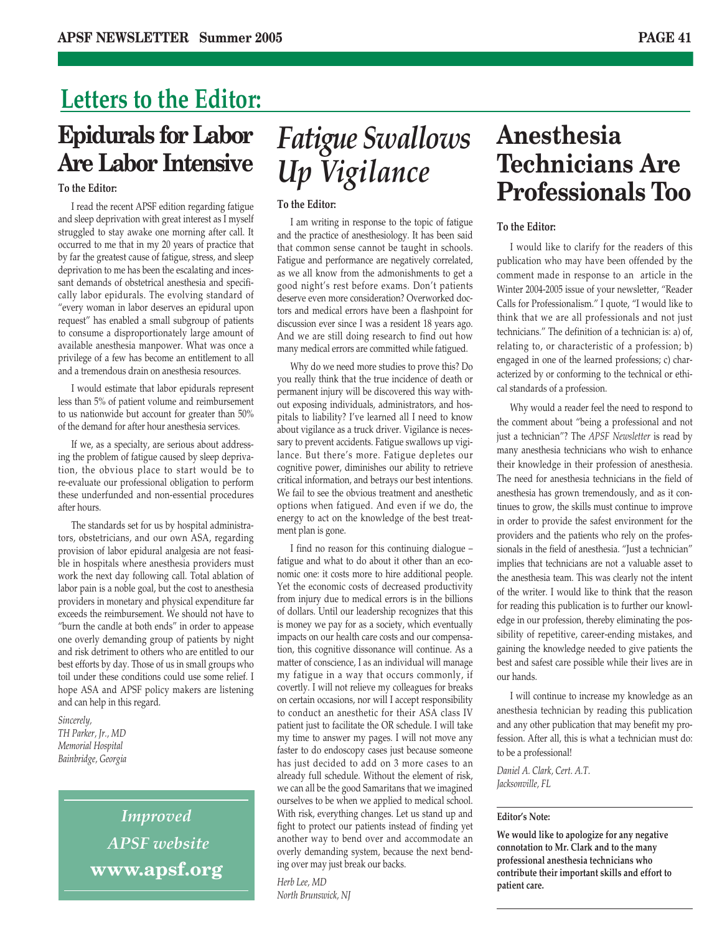### **Epidurals for Labor Are Labor Intensive Letters to the Editor:**

#### **To the Editor:**

I read the recent APSF edition regarding fatigue and sleep deprivation with great interest as I myself struggled to stay awake one morning after call. It occurred to me that in my 20 years of practice that by far the greatest cause of fatigue, stress, and sleep deprivation to me has been the escalating and incessant demands of obstetrical anesthesia and specifically labor epidurals. The evolving standard of "every woman in labor deserves an epidural upon request" has enabled a small subgroup of patients to consume a disproportionately large amount of available anesthesia manpower. What was once a privilege of a few has become an entitlement to all and a tremendous drain on anesthesia resources.

I would estimate that labor epidurals represent less than 5% of patient volume and reimbursement to us nationwide but account for greater than 50% of the demand for after hour anesthesia services.

If we, as a specialty, are serious about addressing the problem of fatigue caused by sleep deprivation, the obvious place to start would be to re-evaluate our professional obligation to perform these underfunded and non-essential procedures after hours.

The standards set for us by hospital administrators, obstetricians, and our own ASA, regarding provision of labor epidural analgesia are not feasible in hospitals where anesthesia providers must work the next day following call. Total ablation of labor pain is a noble goal, but the cost to anesthesia providers in monetary and physical expenditure far exceeds the reimbursement. We should not have to "burn the candle at both ends" in order to appease one overly demanding group of patients by night and risk detriment to others who are entitled to our best efforts by day. Those of us in small groups who toil under these conditions could use some relief. I hope ASA and APSF policy makers are listening and can help in this regard.

*Sincerely, TH Parker, Jr., MD Memorial Hospital Bainbridge, Georgia*

> *Improved APSF website* **www.apsf.org**



#### **To the Editor:**

I am writing in response to the topic of fatigue and the practice of anesthesiology. It has been said that common sense cannot be taught in schools. Fatigue and performance are negatively correlated, as we all know from the admonishments to get a good night's rest before exams. Don't patients deserve even more consideration? Overworked doctors and medical errors have been a flashpoint for discussion ever since I was a resident 18 years ago. And we are still doing research to find out how many medical errors are committed while fatigued.

Why do we need more studies to prove this? Do you really think that the true incidence of death or permanent injury will be discovered this way without exposing individuals, administrators, and hospitals to liability? I've learned all I need to know about vigilance as a truck driver. Vigilance is necessary to prevent accidents. Fatigue swallows up vigilance. But there's more. Fatigue depletes our cognitive power, diminishes our ability to retrieve critical information, and betrays our best intentions. We fail to see the obvious treatment and anesthetic options when fatigued. And even if we do, the energy to act on the knowledge of the best treatment plan is gone.

I find no reason for this continuing dialogue – fatigue and what to do about it other than an economic one: it costs more to hire additional people. Yet the economic costs of decreased productivity from injury due to medical errors is in the billions of dollars. Until our leadership recognizes that this is money we pay for as a society, which eventually impacts on our health care costs and our compensation, this cognitive dissonance will continue. As a matter of conscience, I as an individual will manage my fatigue in a way that occurs commonly, if covertly. I will not relieve my colleagues for breaks on certain occasions, nor will I accept responsibility to conduct an anesthetic for their ASA class IV patient just to facilitate the OR schedule. I will take my time to answer my pages. I will not move any faster to do endoscopy cases just because someone has just decided to add on 3 more cases to an already full schedule. Without the element of risk, we can all be the good Samaritans that we imagined ourselves to be when we applied to medical school. With risk, everything changes. Let us stand up and fight to protect our patients instead of finding yet another way to bend over and accommodate an overly demanding system, because the next bending over may just break our backs.

*Herb Lee, MD North Brunswick, NJ*

### **Anesthesia Technicians Are Professionals Too**

#### **To the Editor:**

I would like to clarify for the readers of this publication who may have been offended by the comment made in response to an article in the Winter 2004-2005 issue of your newsletter, "Reader Calls for Professionalism." I quote, "I would like to think that we are all professionals and not just technicians." The definition of a technician is: a) of, relating to, or characteristic of a profession; b) engaged in one of the learned professions; c) characterized by or conforming to the technical or ethical standards of a profession.

Why would a reader feel the need to respond to the comment about "being a professional and not just a technician"? The *APSF Newsletter* is read by many anesthesia technicians who wish to enhance their knowledge in their profession of anesthesia. The need for anesthesia technicians in the field of anesthesia has grown tremendously, and as it continues to grow, the skills must continue to improve in order to provide the safest environment for the providers and the patients who rely on the professionals in the field of anesthesia. "Just a technician" implies that technicians are not a valuable asset to the anesthesia team. This was clearly not the intent of the writer. I would like to think that the reason for reading this publication is to further our knowledge in our profession, thereby eliminating the possibility of repetitive, career-ending mistakes, and gaining the knowledge needed to give patients the best and safest care possible while their lives are in our hands.

I will continue to increase my knowledge as an anesthesia technician by reading this publication and any other publication that may benefit my profession. After all, this is what a technician must do: to be a professional!

*Daniel A. Clark, Cert. A.T. Jacksonville, FL*

#### **Editor's Note:**

**We would like to apologize for any negative connotation to Mr. Clark and to the many professional anesthesia technicians who contribute their important skills and effort to patient care.**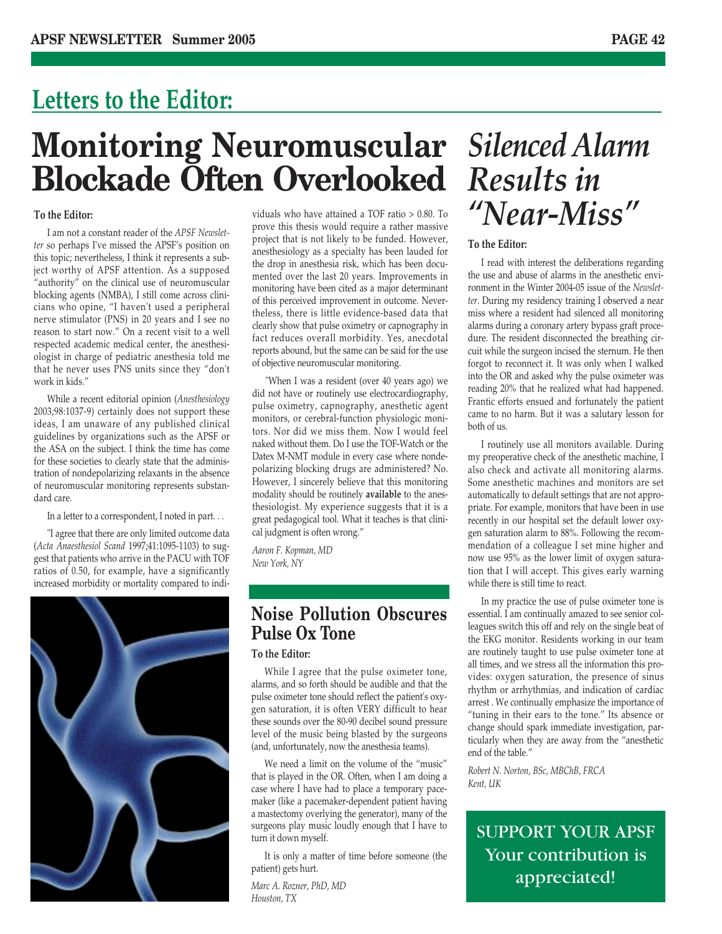### **Letters to the Editor:**

### **Monitoring Neuromuscular** Silenced Alarm *Results in* **Blockade Often Overlooked**

#### **To the Editor:**

I am not a constant reader of the *APSF Newsletter* so perhaps I've missed the APSF's position on this topic; nevertheless, I think it represents a subject worthy of APSF attention. As a supposed "authority" on the clinical use of neuromuscular blocking agents (NMBA), I still come across clinicians who opine, "I haven't used a peripheral nerve stimulator (PNS) in 20 years and I see no reason to start now." On a recent visit to a well respected academic medical center, the anesthesiologist in charge of pediatric anesthesia told me that he never uses PNS units since they "don't work in kids."

While a recent editorial opinion (*Anesthesiology* 2003;98:1037-9) certainly does not support these ideas, I am unaware of any published clinical guidelines by organizations such as the APSF or the ASA on the subject. I think the time has come for these societies to clearly state that the administration of nondepolarizing relaxants in the absence of neuromuscular monitoring represents substandard care.

In a letter to a correspondent, I noted in part. . .

"I agree that there are only limited outcome data (*Acta Anaesthesiol Scand* 1997;41:1095-1103) to suggest that patients who arrive in the PACU with TOF ratios of 0.50, for example, have a significantly increased morbidity or mortality compared to indi-



viduals who have attained a TOF ratio > 0.80. To prove this thesis would require a rather massive project that is not likely to be funded. However, anesthesiology as a specialty has been lauded for the drop in anesthesia risk, which has been documented over the last 20 years. Improvements in monitoring have been cited as a major determinant of this perceived improvement in outcome. Nevertheless, there is little evidence-based data that clearly show that pulse oximetry or capnography in fact reduces overall morbidity. Yes, anecdotal reports abound, but the same can be said for the use of objective neuromuscular monitoring.

"When I was a resident (over 40 years ago) we did not have or routinely use electrocardiography, pulse oximetry, capnography, anesthetic agent monitors, or cerebral-function physiologic monitors. Nor did we miss them. Now I would feel naked without them. Do I use the TOF-Watch or the Datex M-NMT module in every case where nondepolarizing blocking drugs are administered? No. However, I sincerely believe that this monitoring modality should be routinely **available** to the anesthesiologist. My experience suggests that it is a great pedagogical tool. What it teaches is that clinical judgment is often wrong."

*Aaron F. Kopman, MD New York, NY*

#### **Noise Pollution Obscures Pulse Ox Tone**

**To the Editor:** 

While I agree that the pulse oximeter tone, alarms, and so forth should be audible and that the pulse oximeter tone should reflect the patient's oxygen saturation, it is often VERY difficult to hear these sounds over the 80-90 decibel sound pressure level of the music being blasted by the surgeons (and, unfortunately, now the anesthesia teams).

We need a limit on the volume of the "music" that is played in the OR. Often, when I am doing a case where I have had to place a temporary pacemaker (like a pacemaker-dependent patient having a mastectomy overlying the generator), many of the surgeons play music loudly enough that I have to turn it down myself.

It is only a matter of time before someone (the patient) gets hurt.

*Marc A. Rozner, PhD, MD Houston, TX* 

# *"Near-Miss"*

#### **To the Editor:**

I read with interest the deliberations regarding the use and abuse of alarms in the anesthetic environment in the Winter 2004-05 issue of the *Newsletter.* During my residency training I observed a near miss where a resident had silenced all monitoring alarms during a coronary artery bypass graft procedure. The resident disconnected the breathing circuit while the surgeon incised the sternum. He then forgot to reconnect it. It was only when I walked into the OR and asked why the pulse oximeter was reading 20% that he realized what had happened. Frantic efforts ensued and fortunately the patient came to no harm. But it was a salutary lesson for both of us.

I routinely use all monitors available. During my preoperative check of the anesthetic machine, I also check and activate all monitoring alarms. Some anesthetic machines and monitors are set automatically to default settings that are not appropriate. For example, monitors that have been in use recently in our hospital set the default lower oxygen saturation alarm to 88%. Following the recommendation of a colleague I set mine higher and now use 95% as the lower limit of oxygen saturation that I will accept. This gives early warning while there is still time to react.

In my practice the use of pulse oximeter tone is essential. I am continually amazed to see senior colleagues switch this off and rely on the single beat of the EKG monitor. Residents working in our team are routinely taught to use pulse oximeter tone at all times, and we stress all the information this provides: oxygen saturation, the presence of sinus rhythm or arrhythmias, and indication of cardiac arrest . We continually emphasize the importance of "tuning in their ears to the tone." Its absence or change should spark immediate investigation, particularly when they are away from the "anesthetic end of the table."

*Robert N. Norton, BSc, MBChB, FRCA Kent, UK*

SUPPORT YOUR APSF Your contribution is appreciated!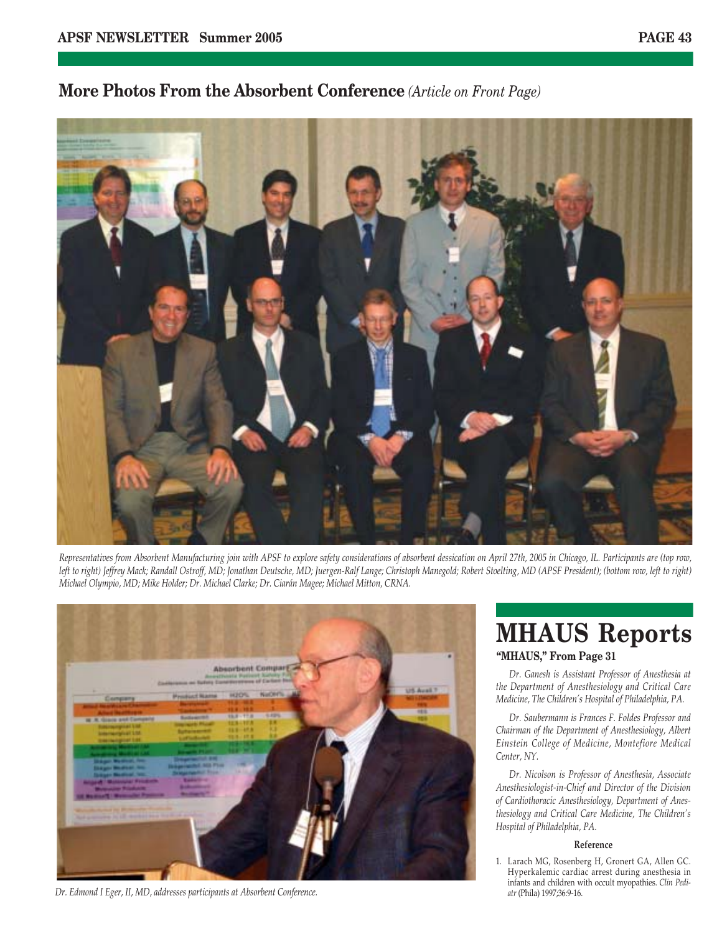#### **More Photos From the Absorbent Conference** *(Article on Front Page)*



*Representatives from Absorbent Manufacturing join with APSF to explore safety considerations of absorbent dessication on April 27th, 2005 in Chicago, IL. Participants are (top row, left to right) Jeffrey Mack; Randall Ostroff, MD; Jonathan Deutsche, MD; Juergen-Ralf Lange; Christoph Manegold; Robert Stoelting, MD (APSF President); (bottom row, left to right) Michael Olympio, MD; Mike Holder; Dr. Michael Clarke; Dr. Ciarán Magee; Michael Mitton, CRNA.*



*Dr. Edmond I Eger, II, MD, addresses participants at Absorbent Conference.* 

# **MHAUS Reports**

**"MHAUS," From Page 31**

*Dr. Ganesh is Assistant Professor of Anesthesia at the Department of Anesthesiology and Critical Care Medicine, The Children's Hospital of Philadelphia, PA.*

*Dr. Saubermann is Frances F. Foldes Professor and Chairman of the Department of Anesthesiology, Albert Einstein College of Medicine, Montefiore Medical Center, NY.*

*Dr. Nicolson is Professor of Anesthesia, Associate Anesthesiologist-in-Chief and Director of the Division of Cardiothoracic Anesthesiology, Department of Anesthesiology and Critical Care Medicine, The Children's Hospital of Philadelphia, PA.*

#### **Reference**

1. Larach MG, Rosenberg H, Gronert GA, Allen GC. Hyperkalemic cardiac arrest during anesthesia in infants and children with occult myopathies. *Clin Pediatr* (Phila) 1997;36:9-16.